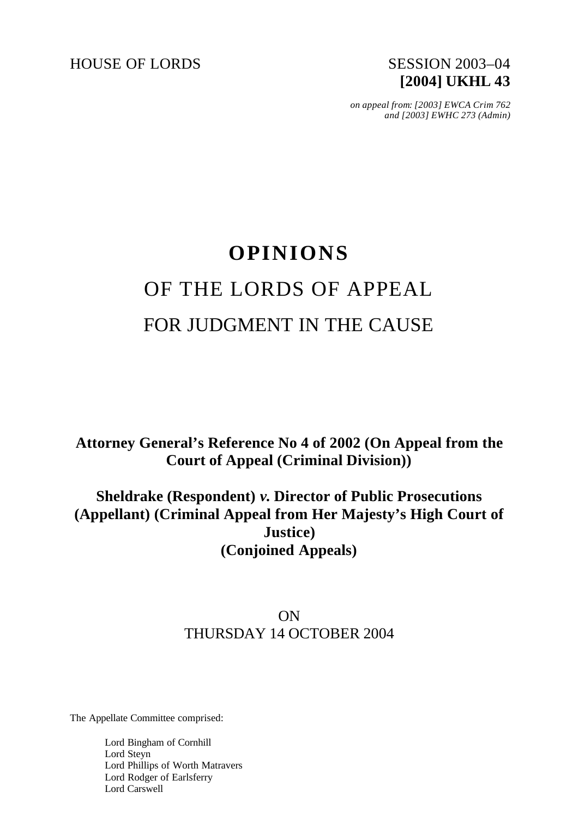HOUSE OF LORDS SESSION 2003-04

# **[2004] UKHL 43**

*on appeal from: [2003] EWCA Crim 762 and [2003] EWHC 273 (Admin)*

## **OPINIONS** OF THE LORDS OF APPEAL FOR JUDGMENT IN THE CAUSE

**Attorney General's Reference No 4 of 2002 (On Appeal from the Court of Appeal (Criminal Division))**

## **Sheldrake (Respondent)** *v.* **Director of Public Prosecutions (Appellant) (Criminal Appeal from Her Majesty's High Court of Justice) (Conjoined Appeals)**

### ON THURSDAY 14 OCTOBER 2004

The Appellate Committee comprised:

Lord Bingham of Cornhill Lord Steyn Lord Phillips of Worth Matravers Lord Rodger of Earlsferry Lord Carswell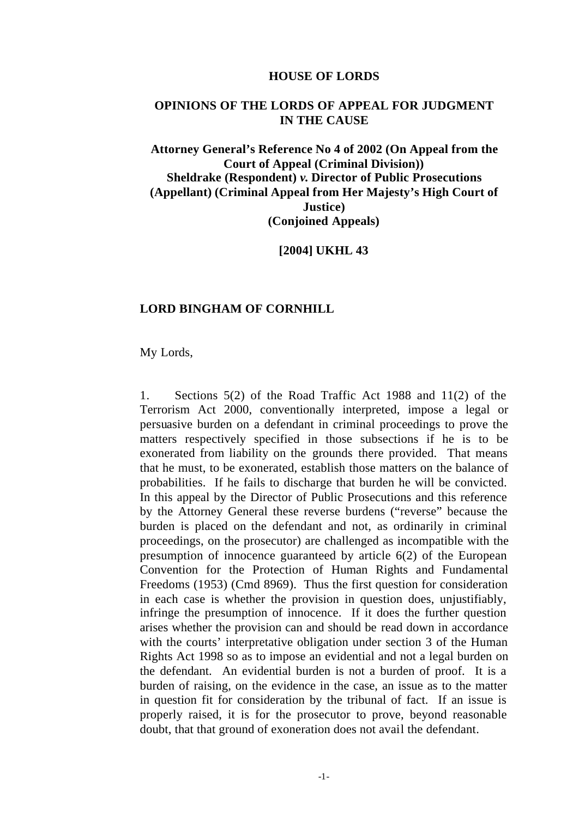#### **HOUSE OF LORDS**

#### **OPINIONS OF THE LORDS OF APPEAL FOR JUDGMENT IN THE CAUSE**

#### **Attorney General's Reference No 4 of 2002 (On Appeal from the Court of Appeal (Criminal Division)) Sheldrake (Respondent)** *v.* **Director of Public Prosecutions (Appellant) (Criminal Appeal from Her Majesty's High Court of Justice) (Conjoined Appeals)**

**[2004] UKHL 43**

#### **LORD BINGHAM OF CORNHILL**

My Lords,

1. Sections 5(2) of the Road Traffic Act 1988 and 11(2) of the Terrorism Act 2000, conventionally interpreted, impose a legal or persuasive burden on a defendant in criminal proceedings to prove the matters respectively specified in those subsections if he is to be exonerated from liability on the grounds there provided. That means that he must, to be exonerated, establish those matters on the balance of probabilities. If he fails to discharge that burden he will be convicted. In this appeal by the Director of Public Prosecutions and this reference by the Attorney General these reverse burdens ("reverse" because the burden is placed on the defendant and not, as ordinarily in criminal proceedings, on the prosecutor) are challenged as incompatible with the presumption of innocence guaranteed by article 6(2) of the European Convention for the Protection of Human Rights and Fundamental Freedoms (1953) (Cmd 8969). Thus the first question for consideration in each case is whether the provision in question does, unjustifiably, infringe the presumption of innocence. If it does the further question arises whether the provision can and should be read down in accordance with the courts' interpretative obligation under section 3 of the Human Rights Act 1998 so as to impose an evidential and not a legal burden on the defendant. An evidential burden is not a burden of proof. It is a burden of raising, on the evidence in the case, an issue as to the matter in question fit for consideration by the tribunal of fact. If an issue is properly raised, it is for the prosecutor to prove, beyond reasonable doubt, that that ground of exoneration does not avail the defendant.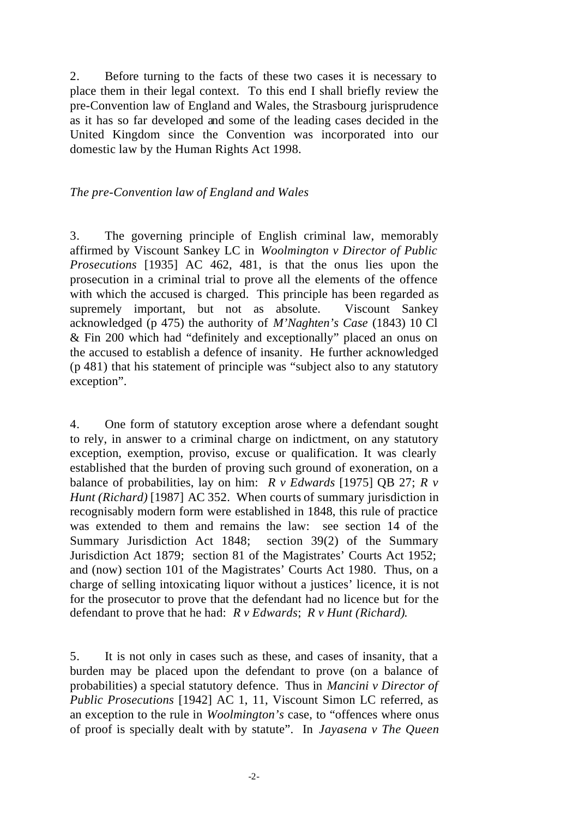2. Before turning to the facts of these two cases it is necessary to place them in their legal context. To this end I shall briefly review the pre-Convention law of England and Wales, the Strasbourg jurisprudence as it has so far developed and some of the leading cases decided in the United Kingdom since the Convention was incorporated into our domestic law by the Human Rights Act 1998.

#### *The pre-Convention law of England and Wales*

3. The governing principle of English criminal law, memorably affirmed by Viscount Sankey LC in *Woolmington v Director of Public Prosecutions* [1935] AC 462, 481, is that the onus lies upon the prosecution in a criminal trial to prove all the elements of the offence with which the accused is charged. This principle has been regarded as supremely important, but not as absolute. Viscount Sankey acknowledged (p 475) the authority of *M'Naghten's Case* (1843) 10 Cl & Fin 200 which had "definitely and exceptionally" placed an onus on the accused to establish a defence of insanity. He further acknowledged (p 481) that his statement of principle was "subject also to any statutory exception".

4. One form of statutory exception arose where a defendant sought to rely, in answer to a criminal charge on indictment, on any statutory exception, exemption, proviso, excuse or qualification. It was clearly established that the burden of proving such ground of exoneration, on a balance of probabilities, lay on him: *R v Edwards* [1975] QB 27; *R v Hunt (Richard)* [1987] AC 352. When courts of summary jurisdiction in recognisably modern form were established in 1848, this rule of practice was extended to them and remains the law: see section 14 of the Summary Jurisdiction Act 1848; section 39(2) of the Summary Jurisdiction Act 1879; section 81 of the Magistrates' Courts Act 1952; and (now) section 101 of the Magistrates' Courts Act 1980. Thus, on a charge of selling intoxicating liquor without a justices' licence, it is not for the prosecutor to prove that the defendant had no licence but for the defendant to prove that he had: *R v Edwards*; *R v Hunt (Richard)*.

5. It is not only in cases such as these, and cases of insanity, that a burden may be placed upon the defendant to prove (on a balance of probabilities) a special statutory defence. Thus in *Mancini v Director of Public Prosecutions* [1942] AC 1, 11, Viscount Simon LC referred, as an exception to the rule in *Woolmington's* case, to "offences where onus of proof is specially dealt with by statute". In *Jayasena v The Queen*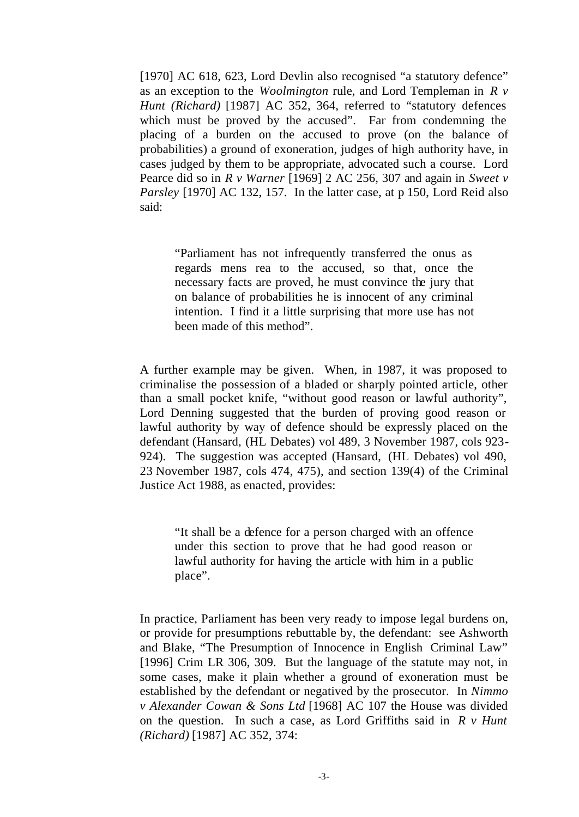[1970] AC 618, 623, Lord Devlin also recognised "a statutory defence" as an exception to the *Woolmington* rule, and Lord Templeman in *R v Hunt (Richard)* [1987] AC 352, 364, referred to "statutory defences which must be proved by the accused". Far from condemning the placing of a burden on the accused to prove (on the balance of probabilities) a ground of exoneration, judges of high authority have, in cases judged by them to be appropriate, advocated such a course. Lord Pearce did so in *R v Warner* [1969] 2 AC 256, 307 and again in *Sweet v Parsley* [1970] AC 132, 157. In the latter case, at p 150, Lord Reid also said:

"Parliament has not infrequently transferred the onus as regards mens rea to the accused, so that, once the necessary facts are proved, he must convince the jury that on balance of probabilities he is innocent of any criminal intention. I find it a little surprising that more use has not been made of this method".

A further example may be given. When, in 1987, it was proposed to criminalise the possession of a bladed or sharply pointed article, other than a small pocket knife, "without good reason or lawful authority", Lord Denning suggested that the burden of proving good reason or lawful authority by way of defence should be expressly placed on the defendant (Hansard, (HL Debates) vol 489, 3 November 1987, cols 923- 924). The suggestion was accepted (Hansard, (HL Debates) vol 490, 23 November 1987, cols 474, 475), and section 139(4) of the Criminal Justice Act 1988, as enacted, provides:

"It shall be a defence for a person charged with an offence under this section to prove that he had good reason or lawful authority for having the article with him in a public place".

In practice, Parliament has been very ready to impose legal burdens on, or provide for presumptions rebuttable by, the defendant: see Ashworth and Blake, "The Presumption of Innocence in English Criminal Law" [1996] Crim LR 306, 309. But the language of the statute may not, in some cases, make it plain whether a ground of exoneration must be established by the defendant or negatived by the prosecutor. In *Nimmo v Alexander Cowan & Sons Ltd* [1968] AC 107 the House was divided on the question. In such a case, as Lord Griffiths said in *R v Hunt (Richard)* [1987] AC 352, 374: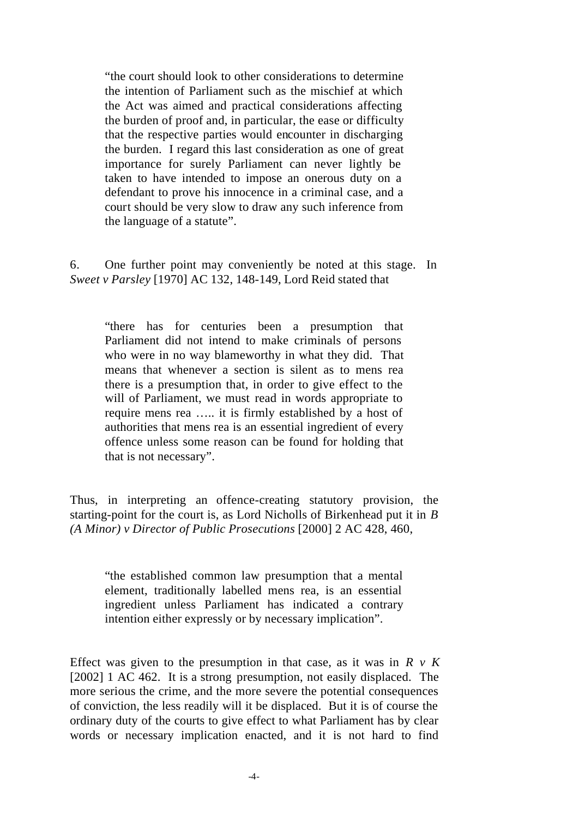"the court should look to other considerations to determine the intention of Parliament such as the mischief at which the Act was aimed and practical considerations affecting the burden of proof and, in particular, the ease or difficulty that the respective parties would encounter in discharging the burden. I regard this last consideration as one of great importance for surely Parliament can never lightly be taken to have intended to impose an onerous duty on a defendant to prove his innocence in a criminal case, and a court should be very slow to draw any such inference from the language of a statute".

6. One further point may conveniently be noted at this stage. In *Sweet v Parsley* [1970] AC 132, 148-149, Lord Reid stated that

"there has for centuries been a presumption that Parliament did not intend to make criminals of persons who were in no way blameworthy in what they did. That means that whenever a section is silent as to mens rea there is a presumption that, in order to give effect to the will of Parliament, we must read in words appropriate to require mens rea ….. it is firmly established by a host of authorities that mens rea is an essential ingredient of every offence unless some reason can be found for holding that that is not necessary".

Thus, in interpreting an offence-creating statutory provision, the starting-point for the court is, as Lord Nicholls of Birkenhead put it in *B (A Minor) v Director of Public Prosecutions* [2000] 2 AC 428, 460,

"the established common law presumption that a mental element, traditionally labelled mens rea, is an essential ingredient unless Parliament has indicated a contrary intention either expressly or by necessary implication".

Effect was given to the presumption in that case, as it was in *R v K* [2002] 1 AC 462. It is a strong presumption, not easily displaced. The more serious the crime, and the more severe the potential consequences of conviction, the less readily will it be displaced. But it is of course the ordinary duty of the courts to give effect to what Parliament has by clear words or necessary implication enacted, and it is not hard to find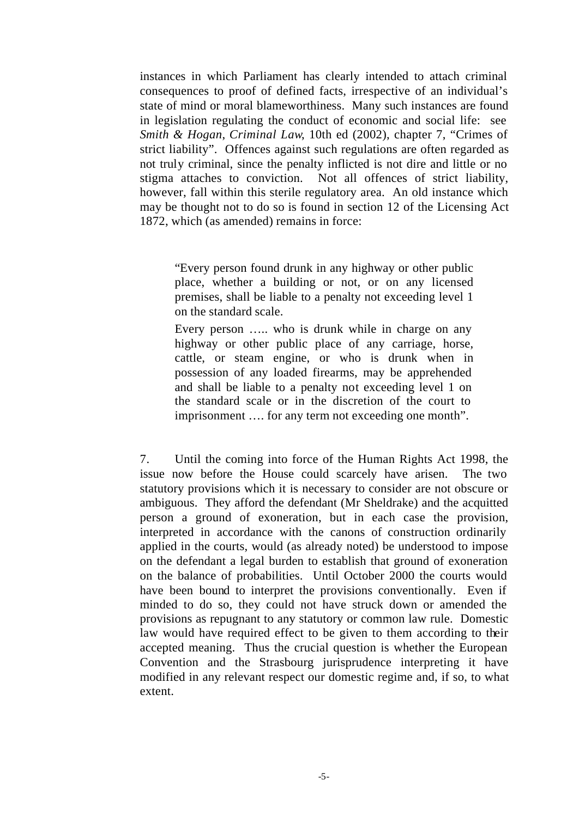instances in which Parliament has clearly intended to attach criminal consequences to proof of defined facts, irrespective of an individual's state of mind or moral blameworthiness. Many such instances are found in legislation regulating the conduct of economic and social life: see *Smith & Hogan*, *Criminal Law*, 10th ed (2002), chapter 7, "Crimes of strict liability". Offences against such regulations are often regarded as not truly criminal, since the penalty inflicted is not dire and little or no stigma attaches to conviction. Not all offences of strict liability, however, fall within this sterile regulatory area. An old instance which may be thought not to do so is found in section 12 of the Licensing Act 1872, which (as amended) remains in force:

"Every person found drunk in any highway or other public place, whether a building or not, or on any licensed premises, shall be liable to a penalty not exceeding level 1 on the standard scale.

Every person ….. who is drunk while in charge on any highway or other public place of any carriage, horse, cattle, or steam engine, or who is drunk when in possession of any loaded firearms, may be apprehended and shall be liable to a penalty not exceeding level 1 on the standard scale or in the discretion of the court to imprisonment …. for any term not exceeding one month".

7. Until the coming into force of the Human Rights Act 1998, the issue now before the House could scarcely have arisen. The two statutory provisions which it is necessary to consider are not obscure or ambiguous. They afford the defendant (Mr Sheldrake) and the acquitted person a ground of exoneration, but in each case the provision, interpreted in accordance with the canons of construction ordinarily applied in the courts, would (as already noted) be understood to impose on the defendant a legal burden to establish that ground of exoneration on the balance of probabilities. Until October 2000 the courts would have been bound to interpret the provisions conventionally. Even if minded to do so, they could not have struck down or amended the provisions as repugnant to any statutory or common law rule. Domestic law would have required effect to be given to them according to their accepted meaning. Thus the crucial question is whether the European Convention and the Strasbourg jurisprudence interpreting it have modified in any relevant respect our domestic regime and, if so, to what extent.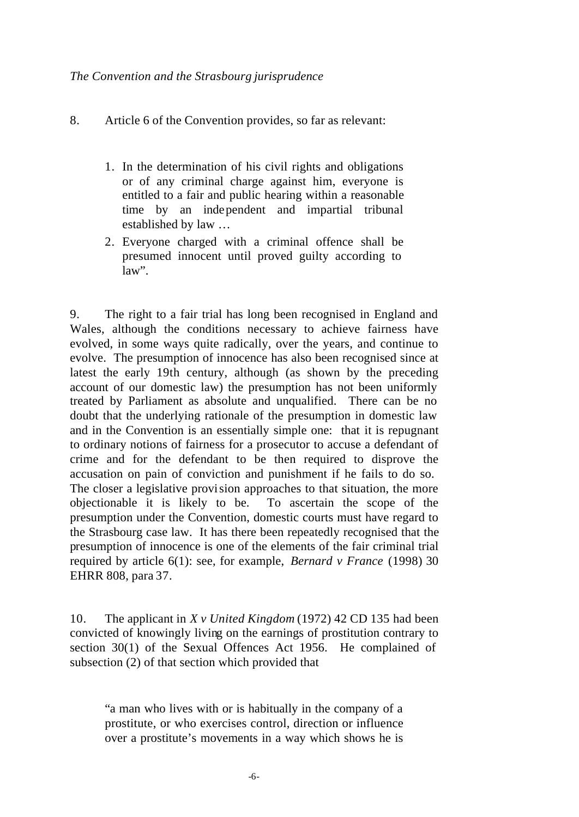- 8. Article 6 of the Convention provides, so far as relevant:
	- 1. In the determination of his civil rights and obligations or of any criminal charge against him, everyone is entitled to a fair and public hearing within a reasonable time by an independent and impartial tribunal established by law …
	- 2. Everyone charged with a criminal offence shall be presumed innocent until proved guilty according to law".

9. The right to a fair trial has long been recognised in England and Wales, although the conditions necessary to achieve fairness have evolved, in some ways quite radically, over the years, and continue to evolve. The presumption of innocence has also been recognised since at latest the early 19th century, although (as shown by the preceding account of our domestic law) the presumption has not been uniformly treated by Parliament as absolute and unqualified. There can be no doubt that the underlying rationale of the presumption in domestic law and in the Convention is an essentially simple one: that it is repugnant to ordinary notions of fairness for a prosecutor to accuse a defendant of crime and for the defendant to be then required to disprove the accusation on pain of conviction and punishment if he fails to do so. The closer a legislative provision approaches to that situation, the more objectionable it is likely to be. To ascertain the scope of the presumption under the Convention, domestic courts must have regard to the Strasbourg case law. It has there been repeatedly recognised that the presumption of innocence is one of the elements of the fair criminal trial required by article 6(1): see, for example, *Bernard v France* (1998) 30 EHRR 808, para 37.

10. The applicant in *X v United Kingdom* (1972) 42 CD 135 had been convicted of knowingly living on the earnings of prostitution contrary to section 30(1) of the Sexual Offences Act 1956. He complained of subsection (2) of that section which provided that

"a man who lives with or is habitually in the company of a prostitute, or who exercises control, direction or influence over a prostitute's movements in a way which shows he is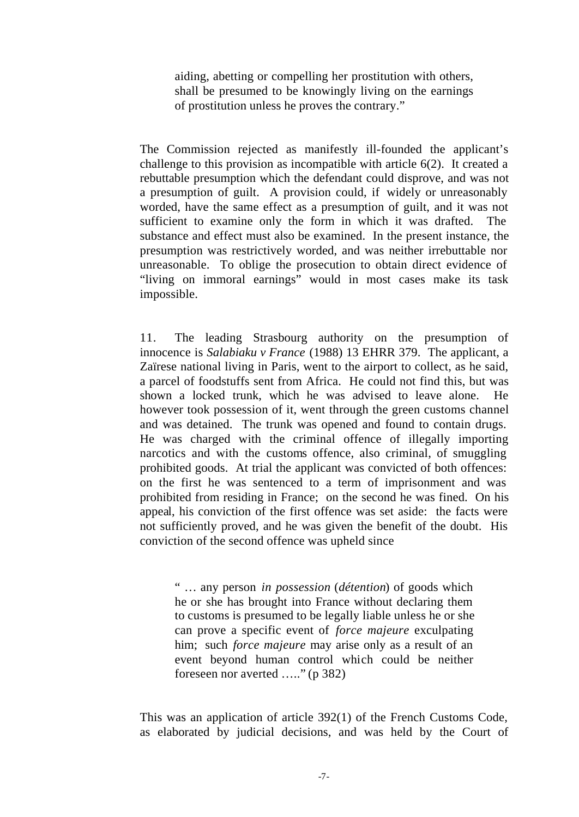aiding, abetting or compelling her prostitution with others, shall be presumed to be knowingly living on the earnings of prostitution unless he proves the contrary."

The Commission rejected as manifestly ill-founded the applicant's challenge to this provision as incompatible with article 6(2). It created a rebuttable presumption which the defendant could disprove, and was not a presumption of guilt. A provision could, if widely or unreasonably worded, have the same effect as a presumption of guilt, and it was not sufficient to examine only the form in which it was drafted. The substance and effect must also be examined. In the present instance, the presumption was restrictively worded, and was neither irrebuttable nor unreasonable. To oblige the prosecution to obtain direct evidence of "living on immoral earnings" would in most cases make its task impossible.

11. The leading Strasbourg authority on the presumption of innocence is *Salabiaku v France* (1988) 13 EHRR 379. The applicant, a Zaïrese national living in Paris, went to the airport to collect, as he said, a parcel of foodstuffs sent from Africa. He could not find this, but was shown a locked trunk, which he was advised to leave alone. He however took possession of it, went through the green customs channel and was detained. The trunk was opened and found to contain drugs. He was charged with the criminal offence of illegally importing narcotics and with the customs offence, also criminal, of smuggling prohibited goods. At trial the applicant was convicted of both offences: on the first he was sentenced to a term of imprisonment and was prohibited from residing in France; on the second he was fined. On his appeal, his conviction of the first offence was set aside: the facts were not sufficiently proved, and he was given the benefit of the doubt. His conviction of the second offence was upheld since

" … any person *in possession* (*détention*) of goods which he or she has brought into France without declaring them to customs is presumed to be legally liable unless he or she can prove a specific event of *force majeure* exculpating him; such *force majeure* may arise only as a result of an event beyond human control which could be neither foreseen nor averted ….." (p 382)

This was an application of article 392(1) of the French Customs Code, as elaborated by judicial decisions, and was held by the Court of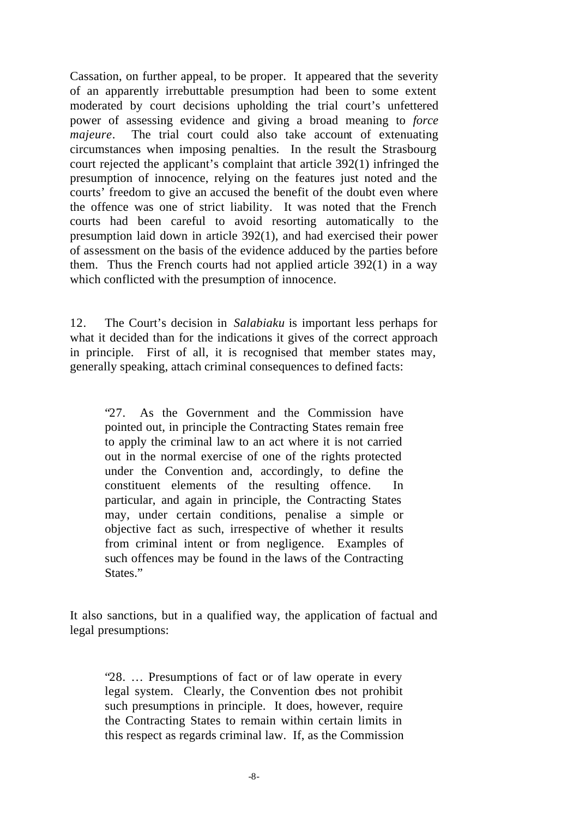Cassation, on further appeal, to be proper. It appeared that the severity of an apparently irrebuttable presumption had been to some extent moderated by court decisions upholding the trial court's unfettered power of assessing evidence and giving a broad meaning to *force majeure*. The trial court could also take account of extenuating circumstances when imposing penalties. In the result the Strasbourg court rejected the applicant's complaint that article 392(1) infringed the presumption of innocence, relying on the features just noted and the courts' freedom to give an accused the benefit of the doubt even where the offence was one of strict liability. It was noted that the French courts had been careful to avoid resorting automatically to the presumption laid down in article 392(1), and had exercised their power of assessment on the basis of the evidence adduced by the parties before them. Thus the French courts had not applied article 392(1) in a way which conflicted with the presumption of innocence.

12. The Court's decision in *Salabiaku* is important less perhaps for what it decided than for the indications it gives of the correct approach in principle. First of all, it is recognised that member states may, generally speaking, attach criminal consequences to defined facts:

"27. As the Government and the Commission have pointed out, in principle the Contracting States remain free to apply the criminal law to an act where it is not carried out in the normal exercise of one of the rights protected under the Convention and, accordingly, to define the constituent elements of the resulting offence. In particular, and again in principle, the Contracting States may, under certain conditions, penalise a simple or objective fact as such, irrespective of whether it results from criminal intent or from negligence. Examples of such offences may be found in the laws of the Contracting States."

It also sanctions, but in a qualified way, the application of factual and legal presumptions:

"28. … Presumptions of fact or of law operate in every legal system. Clearly, the Convention does not prohibit such presumptions in principle. It does, however, require the Contracting States to remain within certain limits in this respect as regards criminal law. If, as the Commission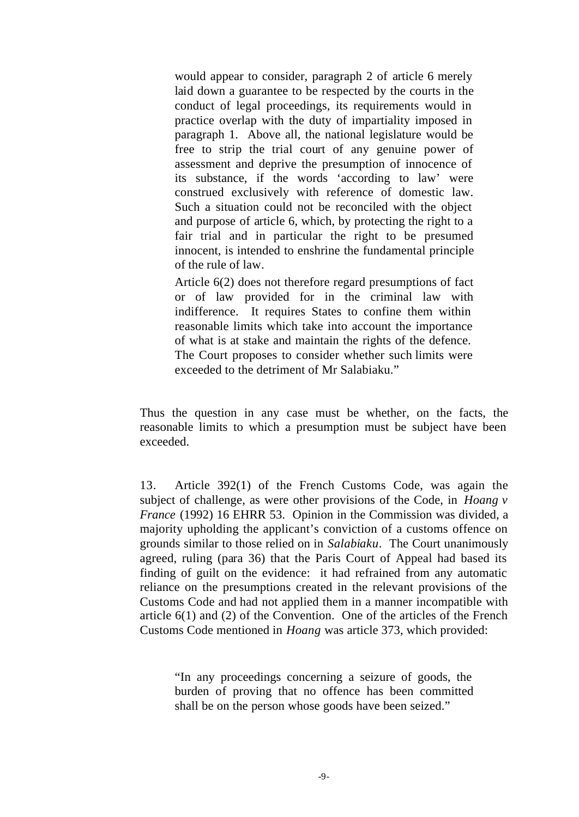would appear to consider, paragraph 2 of article 6 merely laid down a guarantee to be respected by the courts in the conduct of legal proceedings, its requirements would in practice overlap with the duty of impartiality imposed in paragraph 1. Above all, the national legislature would be free to strip the trial court of any genuine power of assessment and deprive the presumption of innocence of its substance, if the words 'according to law' were construed exclusively with reference of domestic law. Such a situation could not be reconciled with the object and purpose of article 6, which, by protecting the right to a fair trial and in particular the right to be presumed innocent, is intended to enshrine the fundamental principle of the rule of law.

Article 6(2) does not therefore regard presumptions of fact or of law provided for in the criminal law with indifference. It requires States to confine them within reasonable limits which take into account the importance of what is at stake and maintain the rights of the defence. The Court proposes to consider whether such limits were exceeded to the detriment of Mr Salabiaku."

Thus the question in any case must be whether, on the facts, the reasonable limits to which a presumption must be subject have been exceeded.

13. Article 392(1) of the French Customs Code, was again the subject of challenge, as were other provisions of the Code, in *Hoang v France* (1992) 16 EHRR 53. Opinion in the Commission was divided, a majority upholding the applicant's conviction of a customs offence on grounds similar to those relied on in *Salabiaku*. The Court unanimously agreed, ruling (para 36) that the Paris Court of Appeal had based its finding of guilt on the evidence: it had refrained from any automatic reliance on the presumptions created in the relevant provisions of the Customs Code and had not applied them in a manner incompatible with article 6(1) and (2) of the Convention. One of the articles of the French Customs Code mentioned in *Hoang* was article 373, which provided:

"In any proceedings concerning a seizure of goods, the burden of proving that no offence has been committed shall be on the person whose goods have been seized."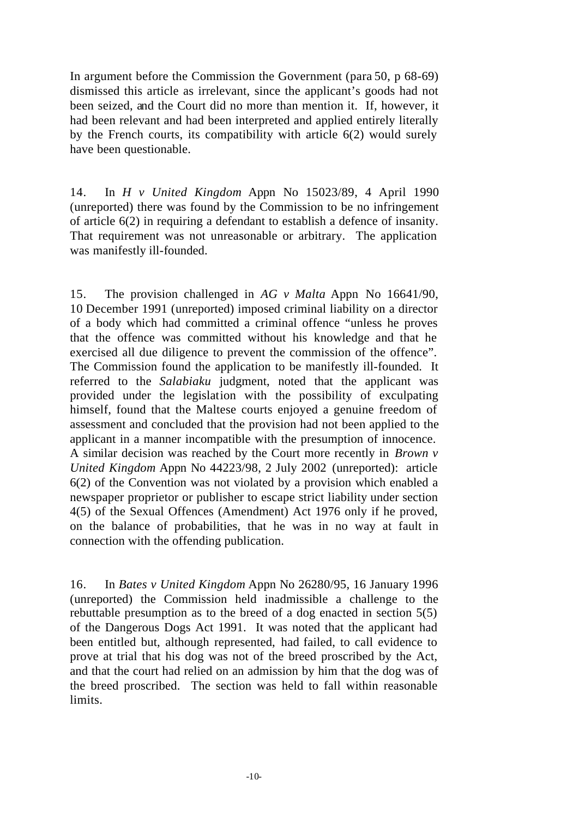In argument before the Commission the Government (para 50, p 68-69) dismissed this article as irrelevant, since the applicant's goods had not been seized, and the Court did no more than mention it. If, however, it had been relevant and had been interpreted and applied entirely literally by the French courts, its compatibility with article 6(2) would surely have been questionable.

14. In *H v United Kingdom* Appn No 15023/89, 4 April 1990 (unreported) there was found by the Commission to be no infringement of article 6(2) in requiring a defendant to establish a defence of insanity. That requirement was not unreasonable or arbitrary. The application was manifestly ill-founded.

15. The provision challenged in *AG v Malta* Appn No 16641/90, 10 December 1991 (unreported) imposed criminal liability on a director of a body which had committed a criminal offence "unless he proves that the offence was committed without his knowledge and that he exercised all due diligence to prevent the commission of the offence". The Commission found the application to be manifestly ill-founded. It referred to the *Salabiaku* judgment, noted that the applicant was provided under the legislation with the possibility of exculpating himself, found that the Maltese courts enjoyed a genuine freedom of assessment and concluded that the provision had not been applied to the applicant in a manner incompatible with the presumption of innocence. A similar decision was reached by the Court more recently in *Brown v United Kingdom* Appn No 44223/98, 2 July 2002 (unreported): article 6(2) of the Convention was not violated by a provision which enabled a newspaper proprietor or publisher to escape strict liability under section 4(5) of the Sexual Offences (Amendment) Act 1976 only if he proved, on the balance of probabilities, that he was in no way at fault in connection with the offending publication.

16. In *Bates v United Kingdom* Appn No 26280/95, 16 January 1996 (unreported) the Commission held inadmissible a challenge to the rebuttable presumption as to the breed of a dog enacted in section 5(5) of the Dangerous Dogs Act 1991. It was noted that the applicant had been entitled but, although represented, had failed, to call evidence to prove at trial that his dog was not of the breed proscribed by the Act, and that the court had relied on an admission by him that the dog was of the breed proscribed. The section was held to fall within reasonable limits.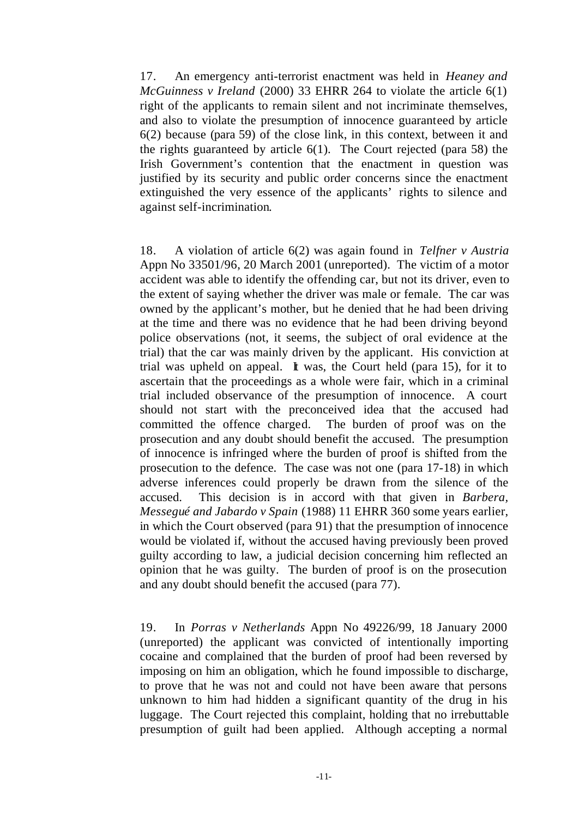17. An emergency anti-terrorist enactment was held in *Heaney and McGuinness v Ireland* (2000) 33 EHRR 264 to violate the article 6(1) right of the applicants to remain silent and not incriminate themselves, and also to violate the presumption of innocence guaranteed by article 6(2) because (para 59) of the close link, in this context, between it and the rights guaranteed by article 6(1). The Court rejected (para 58) the Irish Government's contention that the enactment in question was justified by its security and public order concerns since the enactment extinguished the very essence of the applicants' rights to silence and against self-incrimination.

18. A violation of article 6(2) was again found in *Telfner v Austria* Appn No 33501/96, 20 March 2001 (unreported). The victim of a motor accident was able to identify the offending car, but not its driver, even to the extent of saying whether the driver was male or female. The car was owned by the applicant's mother, but he denied that he had been driving at the time and there was no evidence that he had been driving beyond police observations (not, it seems, the subject of oral evidence at the trial) that the car was mainly driven by the applicant. His conviction at trial was upheld on appeal. It was, the Court held (para 15), for it to ascertain that the proceedings as a whole were fair, which in a criminal trial included observance of the presumption of innocence. A court should not start with the preconceived idea that the accused had committed the offence charged. The burden of proof was on the prosecution and any doubt should benefit the accused. The presumption of innocence is infringed where the burden of proof is shifted from the prosecution to the defence. The case was not one (para 17-18) in which adverse inferences could properly be drawn from the silence of the accused. This decision is in accord with that given in *Barbera, Messegué and Jabardo v Spain* (1988) 11 EHRR 360 some years earlier, in which the Court observed (para 91) that the presumption of innocence would be violated if, without the accused having previously been proved guilty according to law, a judicial decision concerning him reflected an opinion that he was guilty. The burden of proof is on the prosecution and any doubt should benefit the accused (para 77).

19. In *Porras v Netherlands* Appn No 49226/99, 18 January 2000 (unreported) the applicant was convicted of intentionally importing cocaine and complained that the burden of proof had been reversed by imposing on him an obligation, which he found impossible to discharge, to prove that he was not and could not have been aware that persons unknown to him had hidden a significant quantity of the drug in his luggage. The Court rejected this complaint, holding that no irrebuttable presumption of guilt had been applied. Although accepting a normal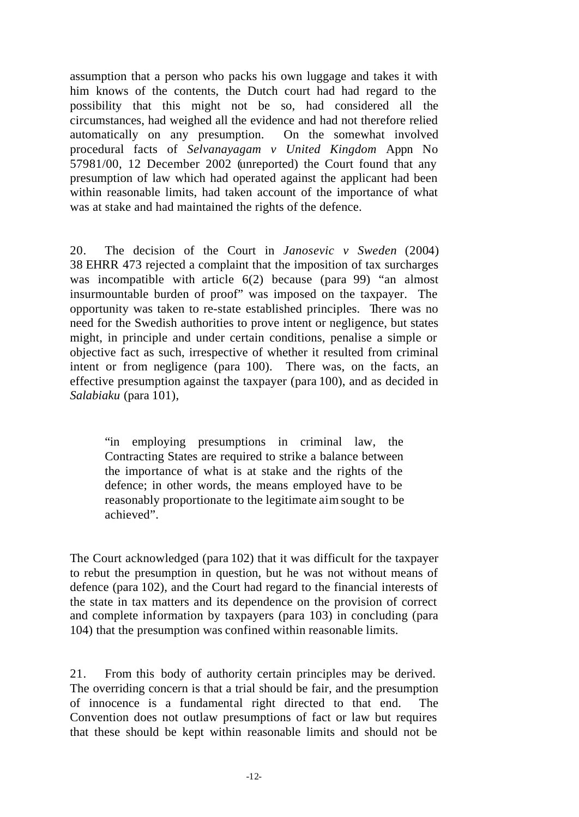assumption that a person who packs his own luggage and takes it with him knows of the contents, the Dutch court had had regard to the possibility that this might not be so, had considered all the circumstances, had weighed all the evidence and had not therefore relied automatically on any presumption. On the somewhat involved procedural facts of *Selvanayagam v United Kingdom* Appn No 57981/00, 12 December 2002 (unreported) the Court found that any presumption of law which had operated against the applicant had been within reasonable limits, had taken account of the importance of what was at stake and had maintained the rights of the defence.

20. The decision of the Court in *Janosevic v Sweden* (2004) 38 EHRR 473 rejected a complaint that the imposition of tax surcharges was incompatible with article 6(2) because (para 99) "an almost insurmountable burden of proof" was imposed on the taxpayer. The opportunity was taken to re-state established principles. There was no need for the Swedish authorities to prove intent or negligence, but states might, in principle and under certain conditions, penalise a simple or objective fact as such, irrespective of whether it resulted from criminal intent or from negligence (para 100). There was, on the facts, an effective presumption against the taxpayer (para 100), and as decided in *Salabiaku* (para 101),

"in employing presumptions in criminal law, the Contracting States are required to strike a balance between the importance of what is at stake and the rights of the defence; in other words, the means employed have to be reasonably proportionate to the legitimate aim sought to be achieved".

The Court acknowledged (para 102) that it was difficult for the taxpayer to rebut the presumption in question, but he was not without means of defence (para 102), and the Court had regard to the financial interests of the state in tax matters and its dependence on the provision of correct and complete information by taxpayers (para 103) in concluding (para 104) that the presumption was confined within reasonable limits.

21. From this body of authority certain principles may be derived. The overriding concern is that a trial should be fair, and the presumption of innocence is a fundamental right directed to that end. The Convention does not outlaw presumptions of fact or law but requires that these should be kept within reasonable limits and should not be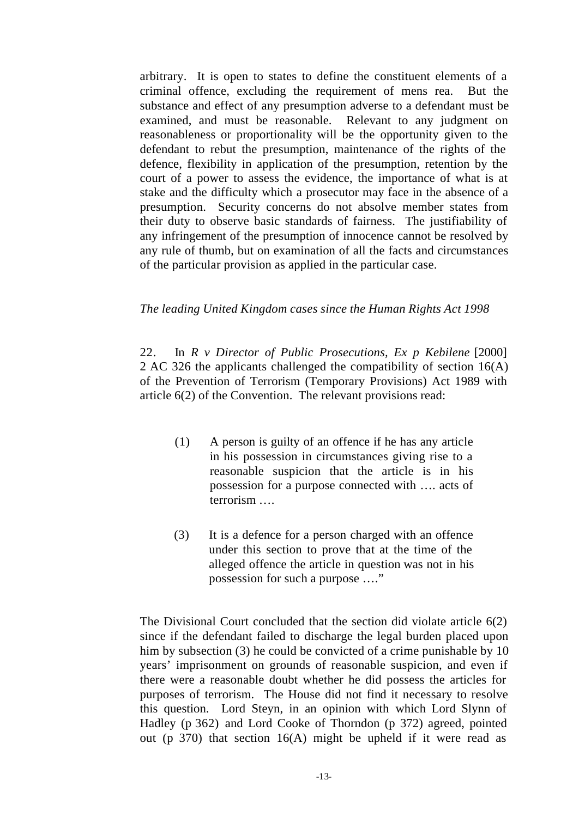arbitrary. It is open to states to define the constituent elements of a criminal offence, excluding the requirement of mens rea. But the substance and effect of any presumption adverse to a defendant must be examined, and must be reasonable. Relevant to any judgment on reasonableness or proportionality will be the opportunity given to the defendant to rebut the presumption, maintenance of the rights of the defence, flexibility in application of the presumption, retention by the court of a power to assess the evidence, the importance of what is at stake and the difficulty which a prosecutor may face in the absence of a presumption. Security concerns do not absolve member states from their duty to observe basic standards of fairness. The justifiability of any infringement of the presumption of innocence cannot be resolved by any rule of thumb, but on examination of all the facts and circumstances of the particular provision as applied in the particular case.

#### *The leading United Kingdom cases since the Human Rights Act 1998*

22. In *R v Director of Public Prosecutions, Ex p Kebilene* [2000] 2 AC 326 the applicants challenged the compatibility of section 16(A) of the Prevention of Terrorism (Temporary Provisions) Act 1989 with article 6(2) of the Convention. The relevant provisions read:

- (1) A person is guilty of an offence if he has any article in his possession in circumstances giving rise to a reasonable suspicion that the article is in his possession for a purpose connected with …. acts of terrorism ….
- (3) It is a defence for a person charged with an offence under this section to prove that at the time of the alleged offence the article in question was not in his possession for such a purpose …."

The Divisional Court concluded that the section did violate article 6(2) since if the defendant failed to discharge the legal burden placed upon him by subsection (3) he could be convicted of a crime punishable by 10 years' imprisonment on grounds of reasonable suspicion, and even if there were a reasonable doubt whether he did possess the articles for purposes of terrorism. The House did not find it necessary to resolve this question. Lord Steyn, in an opinion with which Lord Slynn of Hadley (p 362) and Lord Cooke of Thorndon (p 372) agreed, pointed out (p 370) that section 16(A) might be upheld if it were read as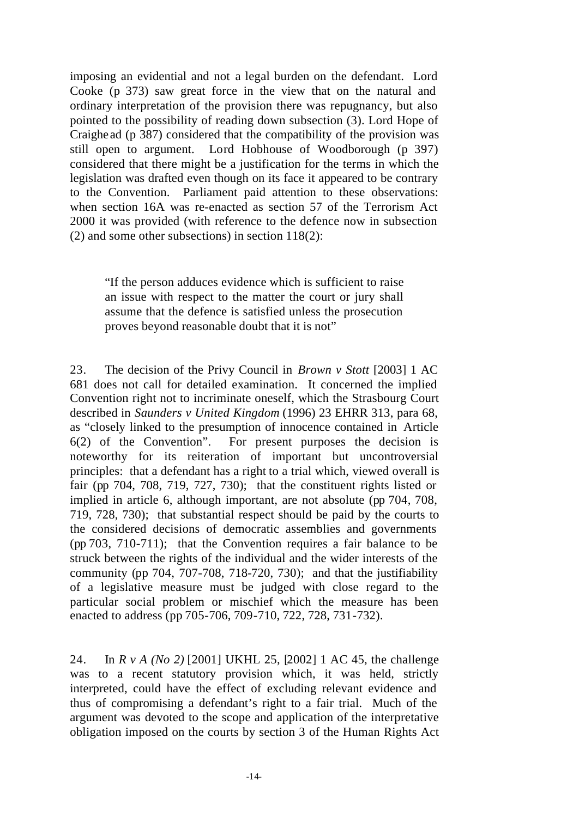imposing an evidential and not a legal burden on the defendant. Lord Cooke (p 373) saw great force in the view that on the natural and ordinary interpretation of the provision there was repugnancy, but also pointed to the possibility of reading down subsection (3). Lord Hope of Craighead (p 387) considered that the compatibility of the provision was still open to argument. Lord Hobhouse of Woodborough (p 397) considered that there might be a justification for the terms in which the legislation was drafted even though on its face it appeared to be contrary to the Convention. Parliament paid attention to these observations: when section 16A was re-enacted as section 57 of the Terrorism Act 2000 it was provided (with reference to the defence now in subsection (2) and some other subsections) in section 118(2):

"If the person adduces evidence which is sufficient to raise an issue with respect to the matter the court or jury shall assume that the defence is satisfied unless the prosecution proves beyond reasonable doubt that it is not"

23. The decision of the Privy Council in *Brown v Stott* [2003] 1 AC 681 does not call for detailed examination. It concerned the implied Convention right not to incriminate oneself, which the Strasbourg Court described in *Saunders v United Kingdom* (1996) 23 EHRR 313, para 68, as "closely linked to the presumption of innocence contained in Article 6(2) of the Convention". For present purposes the decision is noteworthy for its reiteration of important but uncontroversial principles: that a defendant has a right to a trial which, viewed overall is fair (pp 704, 708, 719, 727, 730); that the constituent rights listed or implied in article 6, although important, are not absolute (pp 704, 708, 719, 728, 730); that substantial respect should be paid by the courts to the considered decisions of democratic assemblies and governments (pp 703, 710-711); that the Convention requires a fair balance to be struck between the rights of the individual and the wider interests of the community (pp 704, 707-708, 718-720, 730); and that the justifiability of a legislative measure must be judged with close regard to the particular social problem or mischief which the measure has been enacted to address (pp 705-706, 709-710, 722, 728, 731-732).

24. In *R v A (No 2)* [2001] UKHL 25, [2002] 1 AC 45, the challenge was to a recent statutory provision which, it was held, strictly interpreted, could have the effect of excluding relevant evidence and thus of compromising a defendant's right to a fair trial. Much of the argument was devoted to the scope and application of the interpretative obligation imposed on the courts by section 3 of the Human Rights Act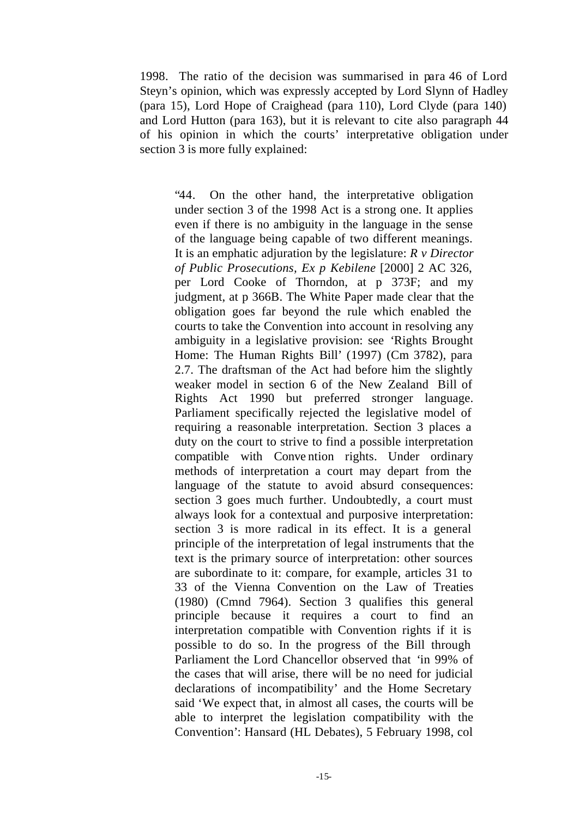1998. The ratio of the decision was summarised in para 46 of Lord Steyn's opinion, which was expressly accepted by Lord Slynn of Hadley (para 15), Lord Hope of Craighead (para 110), Lord Clyde (para 140) and Lord Hutton (para 163), but it is relevant to cite also paragraph 44 of his opinion in which the courts' interpretative obligation under section 3 is more fully explained:

"44. On the other hand, the interpretative obligation under section 3 of the 1998 Act is a strong one. It applies even if there is no ambiguity in the language in the sense of the language being capable of two different meanings. It is an emphatic adjuration by the legislature: *R v Director of Public Prosecutions, Ex p Kebilene* [2000] 2 AC 326, per Lord Cooke of Thorndon, at p 373F; and my judgment, at p 366B. The White Paper made clear that the obligation goes far beyond the rule which enabled the courts to take the Convention into account in resolving any ambiguity in a legislative provision: see 'Rights Brought Home: The Human Rights Bill' (1997) (Cm 3782), para 2.7. The draftsman of the Act had before him the slightly weaker model in section 6 of the New Zealand Bill of Rights Act 1990 but preferred stronger language. Parliament specifically rejected the legislative model of requiring a reasonable interpretation. Section 3 places a duty on the court to strive to find a possible interpretation compatible with Conve ntion rights. Under ordinary methods of interpretation a court may depart from the language of the statute to avoid absurd consequences: section 3 goes much further. Undoubtedly, a court must always look for a contextual and purposive interpretation: section 3 is more radical in its effect. It is a general principle of the interpretation of legal instruments that the text is the primary source of interpretation: other sources are subordinate to it: compare, for example, articles 31 to 33 of the Vienna Convention on the Law of Treaties (1980) (Cmnd 7964). Section 3 qualifies this general principle because it requires a court to find an interpretation compatible with Convention rights if it is possible to do so. In the progress of the Bill through Parliament the Lord Chancellor observed that 'in 99% of the cases that will arise, there will be no need for judicial declarations of incompatibility' and the Home Secretary said 'We expect that, in almost all cases, the courts will be able to interpret the legislation compatibility with the Convention': Hansard (HL Debates), 5 February 1998, col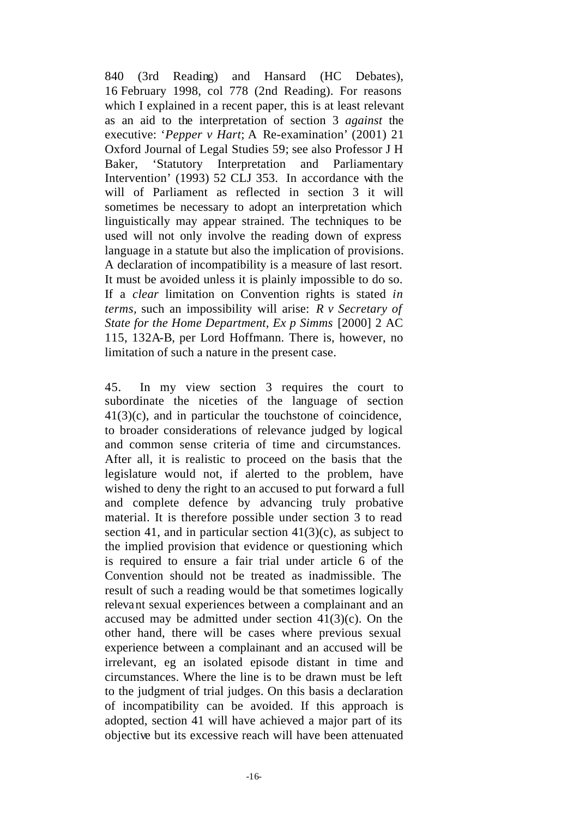840 (3rd Reading) and Hansard (HC Debates), 16 February 1998, col 778 (2nd Reading). For reasons which I explained in a recent paper, this is at least relevant as an aid to the interpretation of section 3 *against* the executive: '*Pepper v Hart*; A Re-examination' (2001) 21 Oxford Journal of Legal Studies 59; see also Professor J H Baker, 'Statutory Interpretation and Parliamentary Intervention' (1993) 52 CLJ 353. In accordance with the will of Parliament as reflected in section 3 it will sometimes be necessary to adopt an interpretation which linguistically may appear strained. The techniques to be used will not only involve the reading down of express language in a statute but also the implication of provisions. A declaration of incompatibility is a measure of last resort. It must be avoided unless it is plainly impossible to do so. If a *clear* limitation on Convention rights is stated *in terms,* such an impossibility will arise: *R v Secretary of State for the Home Department, Ex p Simms* [2000] 2 AC 115, 132A-B, per Lord Hoffmann. There is, however, no limitation of such a nature in the present case.

45. In my view section 3 requires the court to subordinate the niceties of the language of section 41(3)(c), and in particular the touchstone of coincidence, to broader considerations of relevance judged by logical and common sense criteria of time and circumstances. After all, it is realistic to proceed on the basis that the legislature would not, if alerted to the problem, have wished to deny the right to an accused to put forward a full and complete defence by advancing truly probative material. It is therefore possible under section 3 to read section 41, and in particular section  $41(3)(c)$ , as subject to the implied provision that evidence or questioning which is required to ensure a fair trial under article 6 of the Convention should not be treated as inadmissible. The result of such a reading would be that sometimes logically relevant sexual experiences between a complainant and an accused may be admitted under section  $41(3)(c)$ . On the other hand, there will be cases where previous sexual experience between a complainant and an accused will be irrelevant, eg an isolated episode distant in time and circumstances. Where the line is to be drawn must be left to the judgment of trial judges. On this basis a declaration of incompatibility can be avoided. If this approach is adopted, section 41 will have achieved a major part of its objective but its excessive reach will have been attenuated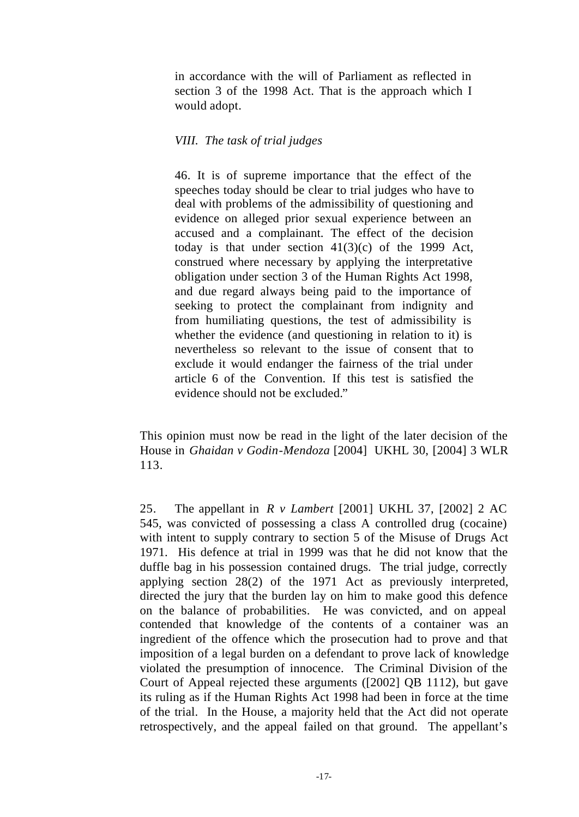in accordance with the will of Parliament as reflected in section 3 of the 1998 Act. That is the approach which I would adopt.

#### *VIII. The task of trial judges*

46. It is of supreme importance that the effect of the speeches today should be clear to trial judges who have to deal with problems of the admissibility of questioning and evidence on alleged prior sexual experience between an accused and a complainant. The effect of the decision today is that under section 41(3)(c) of the 1999 Act, construed where necessary by applying the interpretative obligation under section 3 of the Human Rights Act 1998, and due regard always being paid to the importance of seeking to protect the complainant from indignity and from humiliating questions, the test of admissibility is whether the evidence (and questioning in relation to it) is nevertheless so relevant to the issue of consent that to exclude it would endanger the fairness of the trial under article 6 of the Convention. If this test is satisfied the evidence should not be excluded."

This opinion must now be read in the light of the later decision of the House in *Ghaidan v Godin-Mendoza* [2004] UKHL 30, [2004] 3 WLR 113.

25. The appellant in *R v Lambert* [2001] UKHL 37, [2002] 2 AC 545, was convicted of possessing a class A controlled drug (cocaine) with intent to supply contrary to section 5 of the Misuse of Drugs Act 1971. His defence at trial in 1999 was that he did not know that the duffle bag in his possession contained drugs. The trial judge, correctly applying section 28(2) of the 1971 Act as previously interpreted, directed the jury that the burden lay on him to make good this defence on the balance of probabilities. He was convicted, and on appeal contended that knowledge of the contents of a container was an ingredient of the offence which the prosecution had to prove and that imposition of a legal burden on a defendant to prove lack of knowledge violated the presumption of innocence. The Criminal Division of the Court of Appeal rejected these arguments ([2002] QB 1112), but gave its ruling as if the Human Rights Act 1998 had been in force at the time of the trial. In the House, a majority held that the Act did not operate retrospectively, and the appeal failed on that ground. The appellant's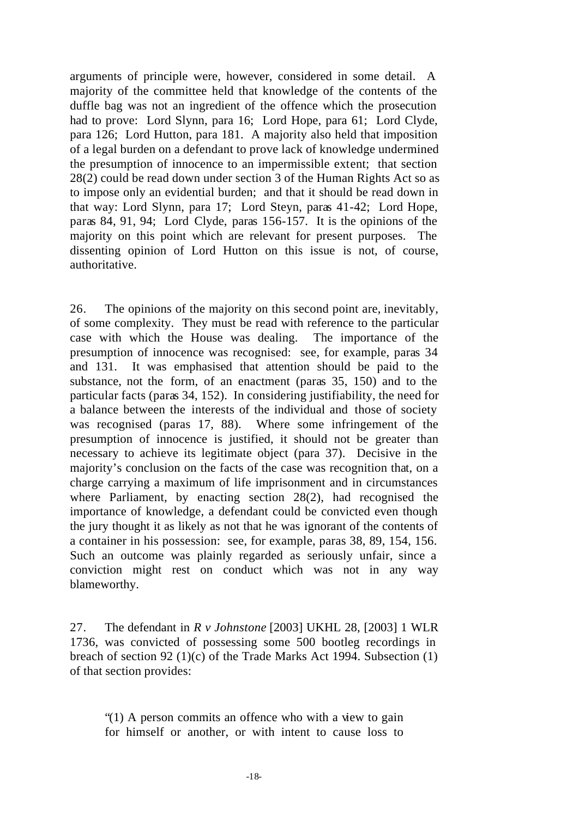arguments of principle were, however, considered in some detail. A majority of the committee held that knowledge of the contents of the duffle bag was not an ingredient of the offence which the prosecution had to prove: Lord Slynn, para 16; Lord Hope, para 61; Lord Clyde, para 126; Lord Hutton, para 181. A majority also held that imposition of a legal burden on a defendant to prove lack of knowledge undermined the presumption of innocence to an impermissible extent; that section 28(2) could be read down under section 3 of the Human Rights Act so as to impose only an evidential burden; and that it should be read down in that way: Lord Slynn, para 17; Lord Steyn, paras 41-42; Lord Hope, paras 84, 91, 94; Lord Clyde, paras 156-157. It is the opinions of the majority on this point which are relevant for present purposes. The dissenting opinion of Lord Hutton on this issue is not, of course, authoritative.

26. The opinions of the majority on this second point are, inevitably, of some complexity. They must be read with reference to the particular case with which the House was dealing. The importance of the presumption of innocence was recognised: see, for example, paras 34 and 131. It was emphasised that attention should be paid to the substance, not the form, of an enactment (paras 35, 150) and to the particular facts (paras 34, 152). In considering justifiability, the need for a balance between the interests of the individual and those of society was recognised (paras 17, 88). Where some infringement of the presumption of innocence is justified, it should not be greater than necessary to achieve its legitimate object (para 37). Decisive in the majority's conclusion on the facts of the case was recognition that, on a charge carrying a maximum of life imprisonment and in circumstances where Parliament, by enacting section 28(2), had recognised the importance of knowledge, a defendant could be convicted even though the jury thought it as likely as not that he was ignorant of the contents of a container in his possession: see, for example, paras 38, 89, 154, 156. Such an outcome was plainly regarded as seriously unfair, since a conviction might rest on conduct which was not in any way blameworthy.

27. The defendant in *R v Johnstone* [2003] UKHL 28, [2003] 1 WLR 1736, was convicted of possessing some 500 bootleg recordings in breach of section 92 (1)(c) of the Trade Marks Act 1994. Subsection (1) of that section provides:

"(1) A person commits an offence who with a view to gain for himself or another, or with intent to cause loss to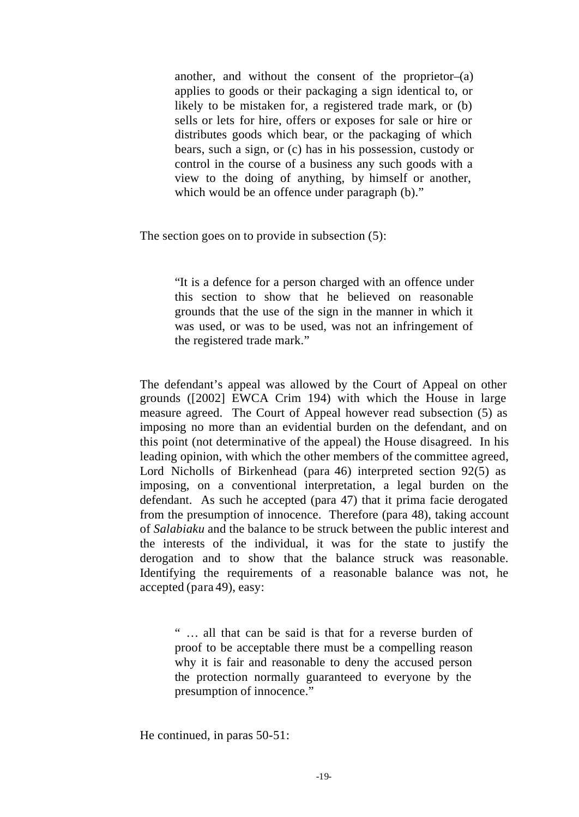another, and without the consent of the proprietor– $(a)$ applies to goods or their packaging a sign identical to, or likely to be mistaken for, a registered trade mark, or (b) sells or lets for hire, offers or exposes for sale or hire or distributes goods which bear, or the packaging of which bears, such a sign, or (c) has in his possession, custody or control in the course of a business any such goods with a view to the doing of anything, by himself or another, which would be an offence under paragraph (b)."

The section goes on to provide in subsection (5):

"It is a defence for a person charged with an offence under this section to show that he believed on reasonable grounds that the use of the sign in the manner in which it was used, or was to be used, was not an infringement of the registered trade mark."

The defendant's appeal was allowed by the Court of Appeal on other grounds ([2002] EWCA Crim 194) with which the House in large measure agreed. The Court of Appeal however read subsection (5) as imposing no more than an evidential burden on the defendant, and on this point (not determinative of the appeal) the House disagreed. In his leading opinion, with which the other members of the committee agreed, Lord Nicholls of Birkenhead (para 46) interpreted section 92(5) as imposing, on a conventional interpretation, a legal burden on the defendant. As such he accepted (para 47) that it prima facie derogated from the presumption of innocence. Therefore (para 48), taking account of *Salabiaku* and the balance to be struck between the public interest and the interests of the individual, it was for the state to justify the derogation and to show that the balance struck was reasonable. Identifying the requirements of a reasonable balance was not, he accepted (para 49), easy:

" … all that can be said is that for a reverse burden of proof to be acceptable there must be a compelling reason why it is fair and reasonable to deny the accused person the protection normally guaranteed to everyone by the presumption of innocence."

He continued, in paras 50-51: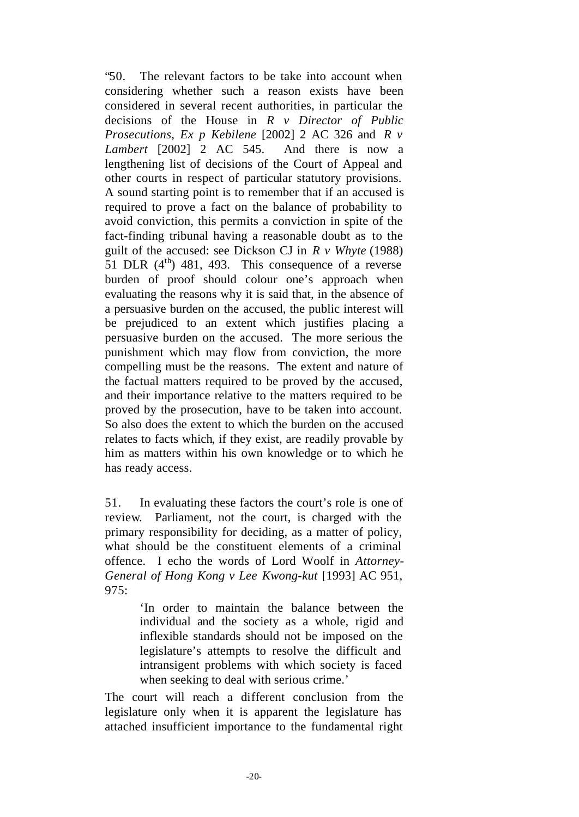"50. The relevant factors to be take into account when considering whether such a reason exists have been considered in several recent authorities, in particular the decisions of the House in *R v Director of Public Prosecutions, Ex p Kebilene* [2002] 2 AC 326 and *R v Lambert* [2002] 2 AC 545. And there is now a lengthening list of decisions of the Court of Appeal and other courts in respect of particular statutory provisions. A sound starting point is to remember that if an accused is required to prove a fact on the balance of probability to avoid conviction, this permits a conviction in spite of the fact-finding tribunal having a reasonable doubt as to the guilt of the accused: see Dickson CJ in *R v Whyte* (1988) 51 DLR  $(4^{th})$  481, 493. This consequence of a reverse burden of proof should colour one's approach when evaluating the reasons why it is said that, in the absence of a persuasive burden on the accused, the public interest will be prejudiced to an extent which justifies placing a persuasive burden on the accused. The more serious the punishment which may flow from conviction, the more compelling must be the reasons. The extent and nature of the factual matters required to be proved by the accused, and their importance relative to the matters required to be proved by the prosecution, have to be taken into account. So also does the extent to which the burden on the accused relates to facts which, if they exist, are readily provable by him as matters within his own knowledge or to which he has ready access.

51. In evaluating these factors the court's role is one of review. Parliament, not the court, is charged with the primary responsibility for deciding, as a matter of policy, what should be the constituent elements of a criminal offence. I echo the words of Lord Woolf in *Attorney-General of Hong Kong v Lee Kwong-kut* [1993] AC 951,  $975:$ 

> 'In order to maintain the balance between the individual and the society as a whole, rigid and inflexible standards should not be imposed on the legislature's attempts to resolve the difficult and intransigent problems with which society is faced when seeking to deal with serious crime.'

The court will reach a different conclusion from the legislature only when it is apparent the legislature has attached insufficient importance to the fundamental right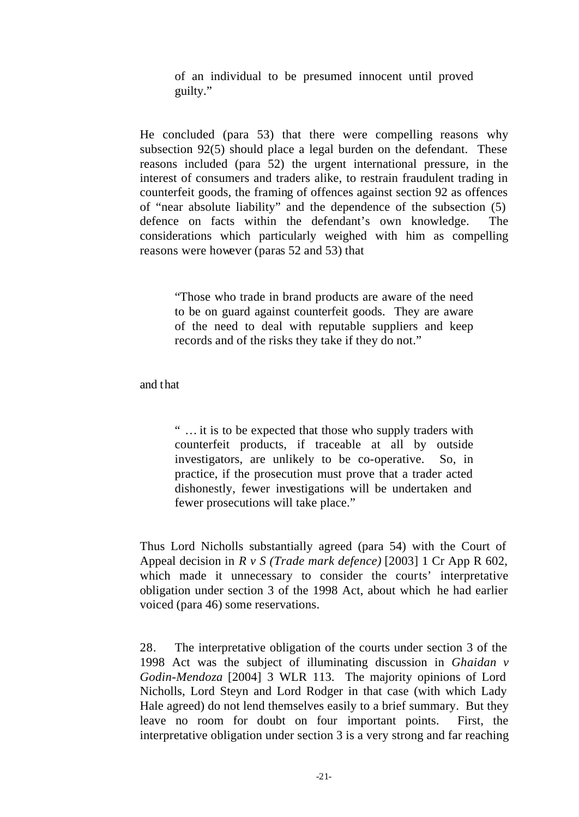of an individual to be presumed innocent until proved guilty."

He concluded (para 53) that there were compelling reasons why subsection 92(5) should place a legal burden on the defendant. These reasons included (para 52) the urgent international pressure, in the interest of consumers and traders alike, to restrain fraudulent trading in counterfeit goods, the framing of offences against section 92 as offences of "near absolute liability" and the dependence of the subsection (5) defence on facts within the defendant's own knowledge. The considerations which particularly weighed with him as compelling reasons were however (paras 52 and 53) that

"Those who trade in brand products are aware of the need to be on guard against counterfeit goods. They are aware of the need to deal with reputable suppliers and keep records and of the risks they take if they do not."

and that

" … it is to be expected that those who supply traders with counterfeit products, if traceable at all by outside investigators, are unlikely to be co-operative. So, in practice, if the prosecution must prove that a trader acted dishonestly, fewer investigations will be undertaken and fewer prosecutions will take place."

Thus Lord Nicholls substantially agreed (para 54) with the Court of Appeal decision in *R v S (Trade mark defence)* [2003] 1 Cr App R 602, which made it unnecessary to consider the courts' interpretative obligation under section 3 of the 1998 Act, about which he had earlier voiced (para 46) some reservations.

28. The interpretative obligation of the courts under section 3 of the 1998 Act was the subject of illuminating discussion in *Ghaidan v Godin-Mendoza* [2004] 3 WLR 113. The majority opinions of Lord Nicholls, Lord Steyn and Lord Rodger in that case (with which Lady Hale agreed) do not lend themselves easily to a brief summary. But they leave no room for doubt on four important points. First, the interpretative obligation under section 3 is a very strong and far reaching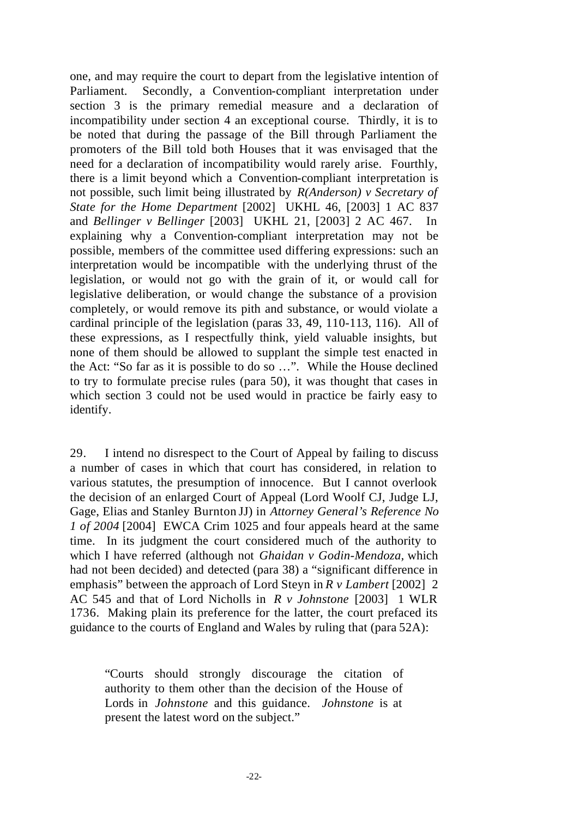one, and may require the court to depart from the legislative intention of Parliament. Secondly, a Convention-compliant interpretation under section 3 is the primary remedial measure and a declaration of incompatibility under section 4 an exceptional course. Thirdly, it is to be noted that during the passage of the Bill through Parliament the promoters of the Bill told both Houses that it was envisaged that the need for a declaration of incompatibility would rarely arise. Fourthly, there is a limit beyond which a Convention-compliant interpretation is not possible, such limit being illustrated by *R(Anderson) v Secretary of State for the Home Department* [2002] UKHL 46, [2003] 1 AC 837 and *Bellinger v Bellinger* [2003] UKHL 21, [2003] 2 AC 467. In explaining why a Convention-compliant interpretation may not be possible, members of the committee used differing expressions: such an interpretation would be incompatible with the underlying thrust of the legislation, or would not go with the grain of it, or would call for legislative deliberation, or would change the substance of a provision completely, or would remove its pith and substance, or would violate a cardinal principle of the legislation (paras 33, 49, 110-113, 116). All of these expressions, as I respectfully think, yield valuable insights, but none of them should be allowed to supplant the simple test enacted in the Act: "So far as it is possible to do so …". While the House declined to try to formulate precise rules (para 50), it was thought that cases in which section 3 could not be used would in practice be fairly easy to identify.

29. I intend no disrespect to the Court of Appeal by failing to discuss a number of cases in which that court has considered, in relation to various statutes, the presumption of innocence. But I cannot overlook the decision of an enlarged Court of Appeal (Lord Woolf CJ, Judge LJ, Gage, Elias and Stanley Burnton JJ) in *Attorney General's Reference No 1 of 2004* [2004] EWCA Crim 1025 and four appeals heard at the same time. In its judgment the court considered much of the authority to which I have referred (although not *Ghaidan v Godin-Mendoza,* which had not been decided) and detected (para 38) a "significant difference in emphasis" between the approach of Lord Steyn in *R v Lambert* [2002] 2 AC 545 and that of Lord Nicholls in *R v Johnstone* [2003] 1 WLR 1736. Making plain its preference for the latter, the court prefaced its guidance to the courts of England and Wales by ruling that (para 52A):

"Courts should strongly discourage the citation of authority to them other than the decision of the House of Lords in *Johnstone* and this guidance. *Johnstone* is at present the latest word on the subject."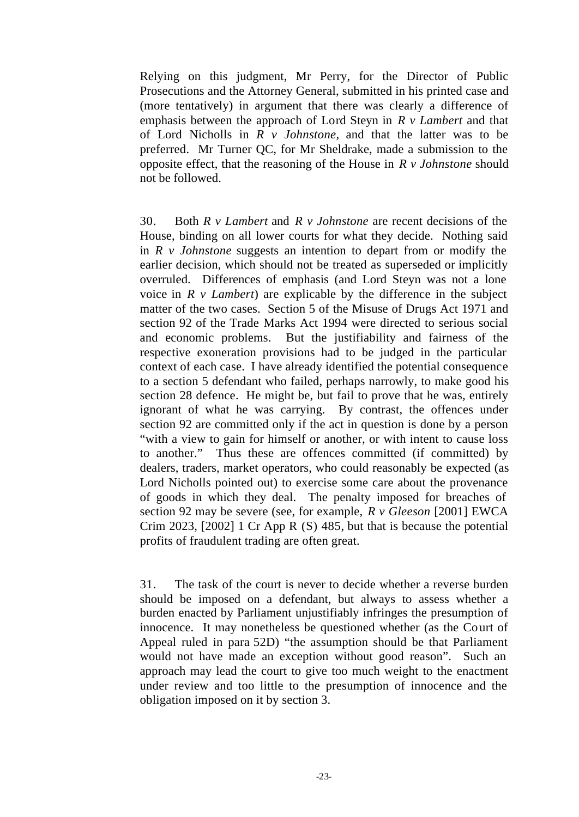Relying on this judgment, Mr Perry, for the Director of Public Prosecutions and the Attorney General, submitted in his printed case and (more tentatively) in argument that there was clearly a difference of emphasis between the approach of Lord Steyn in *R v Lambert* and that of Lord Nicholls in *R v Johnstone,* and that the latter was to be preferred. Mr Turner QC, for Mr Sheldrake, made a submission to the opposite effect, that the reasoning of the House in *R v Johnstone* should not be followed.

30. Both *R v Lambert* and *R v Johnstone* are recent decisions of the House, binding on all lower courts for what they decide. Nothing said in *R v Johnstone* suggests an intention to depart from or modify the earlier decision, which should not be treated as superseded or implicitly overruled. Differences of emphasis (and Lord Steyn was not a lone voice in *R v Lambert*) are explicable by the difference in the subject matter of the two cases. Section 5 of the Misuse of Drugs Act 1971 and section 92 of the Trade Marks Act 1994 were directed to serious social and economic problems. But the justifiability and fairness of the respective exoneration provisions had to be judged in the particular context of each case. I have already identified the potential consequence to a section 5 defendant who failed, perhaps narrowly, to make good his section 28 defence. He might be, but fail to prove that he was, entirely ignorant of what he was carrying. By contrast, the offences under section 92 are committed only if the act in question is done by a person "with a view to gain for himself or another, or with intent to cause loss to another." Thus these are offences committed (if committed) by dealers, traders, market operators, who could reasonably be expected (as Lord Nicholls pointed out) to exercise some care about the provenance of goods in which they deal. The penalty imposed for breaches of section 92 may be severe (see, for example, *R v Gleeson* [2001] EWCA Crim 2023, [2002] 1 Cr App R (S) 485, but that is because the potential profits of fraudulent trading are often great.

31. The task of the court is never to decide whether a reverse burden should be imposed on a defendant, but always to assess whether a burden enacted by Parliament unjustifiably infringes the presumption of innocence. It may nonetheless be questioned whether (as the Court of Appeal ruled in para 52D) "the assumption should be that Parliament would not have made an exception without good reason". Such an approach may lead the court to give too much weight to the enactment under review and too little to the presumption of innocence and the obligation imposed on it by section 3.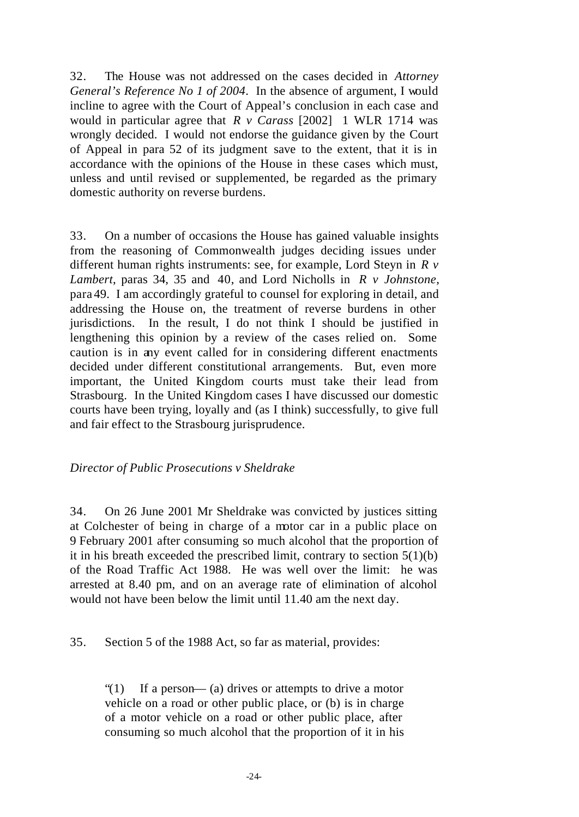32. The House was not addressed on the cases decided in *Attorney General's Reference No 1 of 2004*. In the absence of argument, I would incline to agree with the Court of Appeal's conclusion in each case and would in particular agree that *R v Carass* [2002] 1 WLR 1714 was wrongly decided. I would not endorse the guidance given by the Court of Appeal in para 52 of its judgment save to the extent, that it is in accordance with the opinions of the House in these cases which must, unless and until revised or supplemented, be regarded as the primary domestic authority on reverse burdens.

33. On a number of occasions the House has gained valuable insights from the reasoning of Commonwealth judges deciding issues under different human rights instruments: see, for example, Lord Steyn in *R v Lambert*, paras 34, 35 and 40, and Lord Nicholls in *R v Johnstone*, para 49. I am accordingly grateful to counsel for exploring in detail, and addressing the House on, the treatment of reverse burdens in other jurisdictions. In the result, I do not think I should be justified in lengthening this opinion by a review of the cases relied on. Some caution is in any event called for in considering different enactments decided under different constitutional arrangements. But, even more important, the United Kingdom courts must take their lead from Strasbourg. In the United Kingdom cases I have discussed our domestic courts have been trying, loyally and (as I think) successfully, to give full and fair effect to the Strasbourg jurisprudence.

#### *Director of Public Prosecutions v Sheldrake*

34. On 26 June 2001 Mr Sheldrake was convicted by justices sitting at Colchester of being in charge of a motor car in a public place on 9 February 2001 after consuming so much alcohol that the proportion of it in his breath exceeded the prescribed limit, contrary to section  $5(1)(b)$ of the Road Traffic Act 1988. He was well over the limit: he was arrested at 8.40 pm, and on an average rate of elimination of alcohol would not have been below the limit until 11.40 am the next day.

35. Section 5 of the 1988 Act, so far as material, provides:

"(1) If a person— (a) drives or attempts to drive a motor vehicle on a road or other public place, or (b) is in charge of a motor vehicle on a road or other public place, after consuming so much alcohol that the proportion of it in his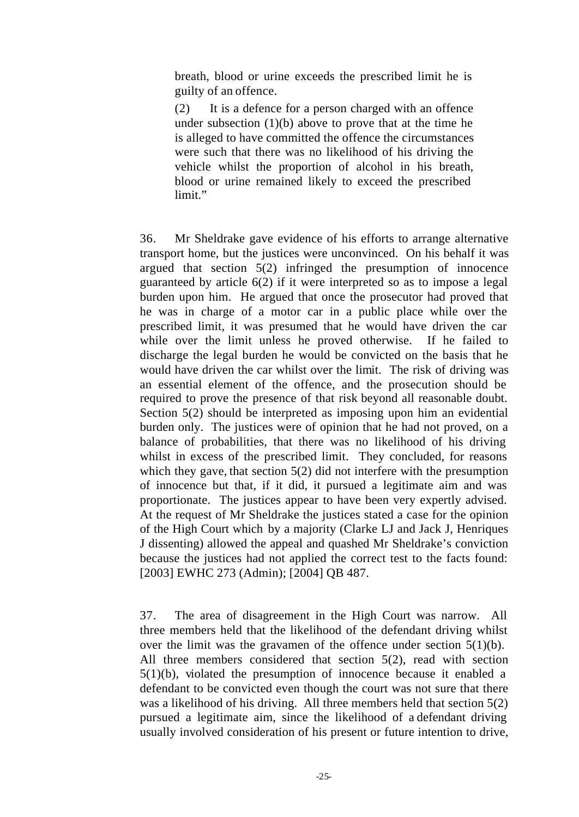breath, blood or urine exceeds the prescribed limit he is guilty of an offence.

(2) It is a defence for a person charged with an offence under subsection  $(1)(b)$  above to prove that at the time he is alleged to have committed the offence the circumstances were such that there was no likelihood of his driving the vehicle whilst the proportion of alcohol in his breath, blood or urine remained likely to exceed the prescribed limit."

36. Mr Sheldrake gave evidence of his efforts to arrange alternative transport home, but the justices were unconvinced. On his behalf it was argued that section 5(2) infringed the presumption of innocence guaranteed by article 6(2) if it were interpreted so as to impose a legal burden upon him. He argued that once the prosecutor had proved that he was in charge of a motor car in a public place while over the prescribed limit, it was presumed that he would have driven the car while over the limit unless he proved otherwise. If he failed to discharge the legal burden he would be convicted on the basis that he would have driven the car whilst over the limit. The risk of driving was an essential element of the offence, and the prosecution should be required to prove the presence of that risk beyond all reasonable doubt. Section 5(2) should be interpreted as imposing upon him an evidential burden only. The justices were of opinion that he had not proved, on a balance of probabilities, that there was no likelihood of his driving whilst in excess of the prescribed limit. They concluded, for reasons which they gave, that section 5(2) did not interfere with the presumption of innocence but that, if it did, it pursued a legitimate aim and was proportionate. The justices appear to have been very expertly advised. At the request of Mr Sheldrake the justices stated a case for the opinion of the High Court which by a majority (Clarke LJ and Jack J, Henriques J dissenting) allowed the appeal and quashed Mr Sheldrake's conviction because the justices had not applied the correct test to the facts found: [2003] EWHC 273 (Admin); [2004] QB 487.

37. The area of disagreement in the High Court was narrow. All three members held that the likelihood of the defendant driving whilst over the limit was the gravamen of the offence under section 5(1)(b). All three members considered that section 5(2), read with section 5(1)(b), violated the presumption of innocence because it enabled a defendant to be convicted even though the court was not sure that there was a likelihood of his driving. All three members held that section 5(2) pursued a legitimate aim, since the likelihood of a defendant driving usually involved consideration of his present or future intention to drive,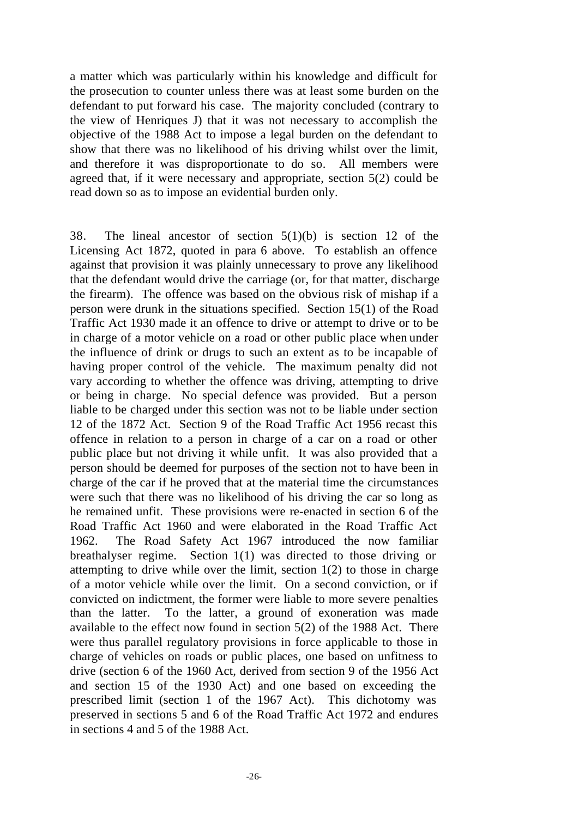a matter which was particularly within his knowledge and difficult for the prosecution to counter unless there was at least some burden on the defendant to put forward his case. The majority concluded (contrary to the view of Henriques J) that it was not necessary to accomplish the objective of the 1988 Act to impose a legal burden on the defendant to show that there was no likelihood of his driving whilst over the limit, and therefore it was disproportionate to do so. All members were agreed that, if it were necessary and appropriate, section 5(2) could be read down so as to impose an evidential burden only.

38. The lineal ancestor of section 5(1)(b) is section 12 of the Licensing Act 1872, quoted in para 6 above. To establish an offence against that provision it was plainly unnecessary to prove any likelihood that the defendant would drive the carriage (or, for that matter, discharge the firearm). The offence was based on the obvious risk of mishap if a person were drunk in the situations specified. Section 15(1) of the Road Traffic Act 1930 made it an offence to drive or attempt to drive or to be in charge of a motor vehicle on a road or other public place when under the influence of drink or drugs to such an extent as to be incapable of having proper control of the vehicle. The maximum penalty did not vary according to whether the offence was driving, attempting to drive or being in charge. No special defence was provided. But a person liable to be charged under this section was not to be liable under section 12 of the 1872 Act. Section 9 of the Road Traffic Act 1956 recast this offence in relation to a person in charge of a car on a road or other public place but not driving it while unfit. It was also provided that a person should be deemed for purposes of the section not to have been in charge of the car if he proved that at the material time the circumstances were such that there was no likelihood of his driving the car so long as he remained unfit. These provisions were re-enacted in section 6 of the Road Traffic Act 1960 and were elaborated in the Road Traffic Act 1962. The Road Safety Act 1967 introduced the now familiar breathalyser regime. Section 1(1) was directed to those driving or attempting to drive while over the limit, section  $1(2)$  to those in charge of a motor vehicle while over the limit. On a second conviction, or if convicted on indictment, the former were liable to more severe penalties than the latter. To the latter, a ground of exoneration was made available to the effect now found in section 5(2) of the 1988 Act. There were thus parallel regulatory provisions in force applicable to those in charge of vehicles on roads or public places, one based on unfitness to drive (section 6 of the 1960 Act, derived from section 9 of the 1956 Act and section 15 of the 1930 Act) and one based on exceeding the prescribed limit (section 1 of the 1967 Act). This dichotomy was preserved in sections 5 and 6 of the Road Traffic Act 1972 and endures in sections 4 and 5 of the 1988 Act.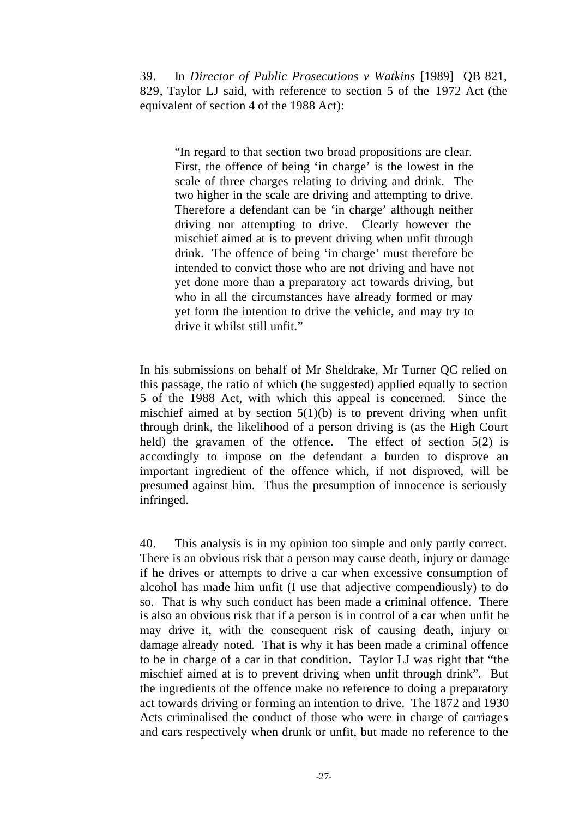39. In *Director of Public Prosecutions v Watkins* [1989] QB 821, 829, Taylor LJ said, with reference to section 5 of the 1972 Act (the equivalent of section 4 of the 1988 Act):

"In regard to that section two broad propositions are clear. First, the offence of being 'in charge' is the lowest in the scale of three charges relating to driving and drink. The two higher in the scale are driving and attempting to drive. Therefore a defendant can be 'in charge' although neither driving nor attempting to drive. Clearly however the mischief aimed at is to prevent driving when unfit through drink. The offence of being 'in charge' must therefore be intended to convict those who are not driving and have not yet done more than a preparatory act towards driving, but who in all the circumstances have already formed or may yet form the intention to drive the vehicle, and may try to drive it whilst still unfit."

In his submissions on behalf of Mr Sheldrake, Mr Turner QC relied on this passage, the ratio of which (he suggested) applied equally to section 5 of the 1988 Act, with which this appeal is concerned. Since the mischief aimed at by section  $5(1)(b)$  is to prevent driving when unfit through drink, the likelihood of a person driving is (as the High Court held) the gravamen of the offence. The effect of section 5(2) is accordingly to impose on the defendant a burden to disprove an important ingredient of the offence which, if not disproved, will be presumed against him. Thus the presumption of innocence is seriously infringed.

40. This analysis is in my opinion too simple and only partly correct. There is an obvious risk that a person may cause death, injury or damage if he drives or attempts to drive a car when excessive consumption of alcohol has made him unfit (I use that adjective compendiously) to do so. That is why such conduct has been made a criminal offence. There is also an obvious risk that if a person is in control of a car when unfit he may drive it, with the consequent risk of causing death, injury or damage already noted. That is why it has been made a criminal offence to be in charge of a car in that condition. Taylor LJ was right that "the mischief aimed at is to prevent driving when unfit through drink". But the ingredients of the offence make no reference to doing a preparatory act towards driving or forming an intention to drive. The 1872 and 1930 Acts criminalised the conduct of those who were in charge of carriages and cars respectively when drunk or unfit, but made no reference to the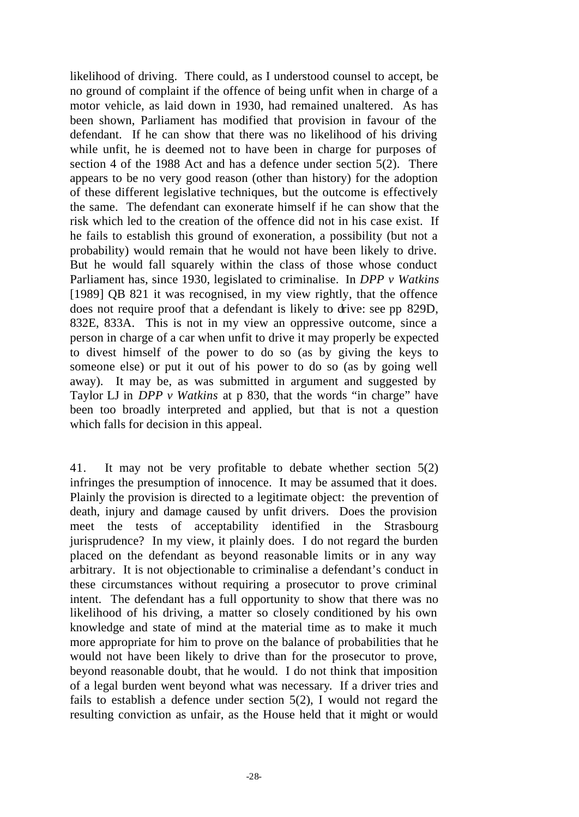likelihood of driving. There could, as I understood counsel to accept, be no ground of complaint if the offence of being unfit when in charge of a motor vehicle, as laid down in 1930, had remained unaltered. As has been shown, Parliament has modified that provision in favour of the defendant. If he can show that there was no likelihood of his driving while unfit, he is deemed not to have been in charge for purposes of section 4 of the 1988 Act and has a defence under section 5(2). There appears to be no very good reason (other than history) for the adoption of these different legislative techniques, but the outcome is effectively the same. The defendant can exonerate himself if he can show that the risk which led to the creation of the offence did not in his case exist. If he fails to establish this ground of exoneration, a possibility (but not a probability) would remain that he would not have been likely to drive. But he would fall squarely within the class of those whose conduct Parliament has, since 1930, legislated to criminalise. In *DPP v Watkins* [1989] QB 821 it was recognised, in my view rightly, that the offence does not require proof that a defendant is likely to drive: see pp 829D, 832E, 833A. This is not in my view an oppressive outcome, since a person in charge of a car when unfit to drive it may properly be expected to divest himself of the power to do so (as by giving the keys to someone else) or put it out of his power to do so (as by going well away). It may be, as was submitted in argument and suggested by Taylor LJ in *DPP v Watkins* at p 830, that the words "in charge" have been too broadly interpreted and applied, but that is not a question which falls for decision in this appeal.

41. It may not be very profitable to debate whether section 5(2) infringes the presumption of innocence. It may be assumed that it does. Plainly the provision is directed to a legitimate object: the prevention of death, injury and damage caused by unfit drivers. Does the provision meet the tests of acceptability identified in the Strasbourg jurisprudence? In my view, it plainly does. I do not regard the burden placed on the defendant as beyond reasonable limits or in any way arbitrary. It is not objectionable to criminalise a defendant's conduct in these circumstances without requiring a prosecutor to prove criminal intent. The defendant has a full opportunity to show that there was no likelihood of his driving, a matter so closely conditioned by his own knowledge and state of mind at the material time as to make it much more appropriate for him to prove on the balance of probabilities that he would not have been likely to drive than for the prosecutor to prove, beyond reasonable doubt, that he would. I do not think that imposition of a legal burden went beyond what was necessary. If a driver tries and fails to establish a defence under section 5(2), I would not regard the resulting conviction as unfair, as the House held that it might or would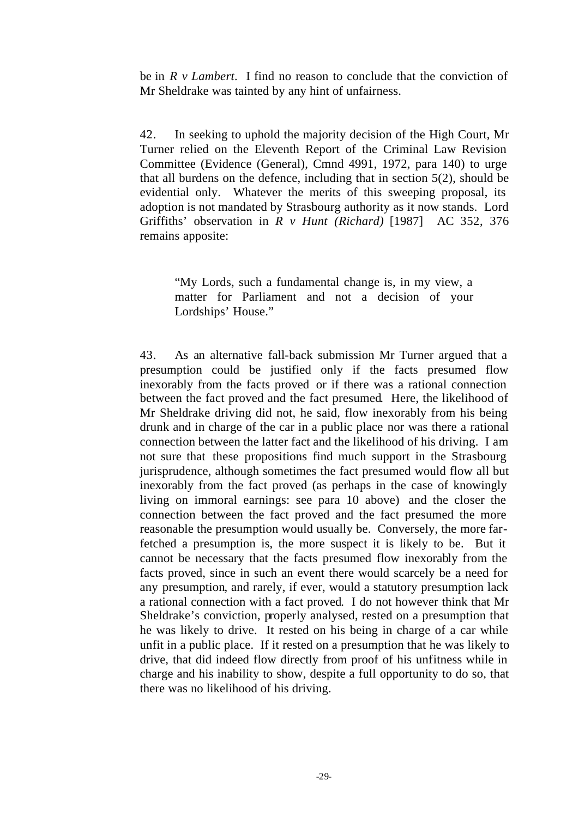be in *R v Lambert*. I find no reason to conclude that the conviction of Mr Sheldrake was tainted by any hint of unfairness.

42. In seeking to uphold the majority decision of the High Court, Mr Turner relied on the Eleventh Report of the Criminal Law Revision Committee (Evidence (General), Cmnd 4991, 1972, para 140) to urge that all burdens on the defence, including that in section 5(2), should be evidential only. Whatever the merits of this sweeping proposal, its adoption is not mandated by Strasbourg authority as it now stands. Lord Griffiths' observation in *R v Hunt (Richard)* [1987] AC 352, 376 remains apposite:

"My Lords, such a fundamental change is, in my view, a matter for Parliament and not a decision of your Lordships' House."

43. As an alternative fall-back submission Mr Turner argued that a presumption could be justified only if the facts presumed flow inexorably from the facts proved or if there was a rational connection between the fact proved and the fact presumed. Here, the likelihood of Mr Sheldrake driving did not, he said, flow inexorably from his being drunk and in charge of the car in a public place nor was there a rational connection between the latter fact and the likelihood of his driving. I am not sure that these propositions find much support in the Strasbourg jurisprudence, although sometimes the fact presumed would flow all but inexorably from the fact proved (as perhaps in the case of knowingly living on immoral earnings: see para 10 above) and the closer the connection between the fact proved and the fact presumed the more reasonable the presumption would usually be. Conversely, the more farfetched a presumption is, the more suspect it is likely to be. But it cannot be necessary that the facts presumed flow inexorably from the facts proved, since in such an event there would scarcely be a need for any presumption, and rarely, if ever, would a statutory presumption lack a rational connection with a fact proved. I do not however think that Mr Sheldrake's conviction, properly analysed, rested on a presumption that he was likely to drive. It rested on his being in charge of a car while unfit in a public place. If it rested on a presumption that he was likely to drive, that did indeed flow directly from proof of his unfitness while in charge and his inability to show, despite a full opportunity to do so, that there was no likelihood of his driving.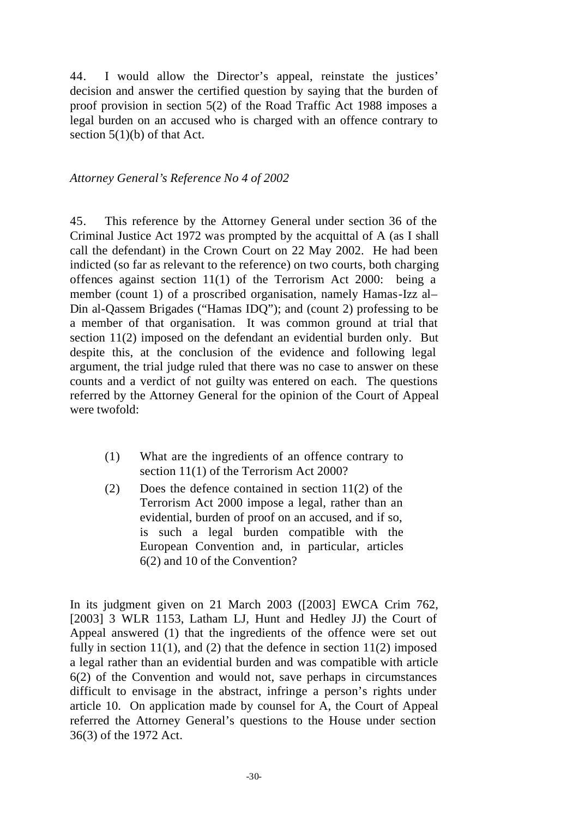44. I would allow the Director's appeal, reinstate the justices' decision and answer the certified question by saying that the burden of proof provision in section 5(2) of the Road Traffic Act 1988 imposes a legal burden on an accused who is charged with an offence contrary to section 5(1)(b) of that Act.

#### *Attorney General's Reference No 4 of 2002*

45. This reference by the Attorney General under section 36 of the Criminal Justice Act 1972 was prompted by the acquittal of A (as I shall call the defendant) in the Crown Court on 22 May 2002. He had been indicted (so far as relevant to the reference) on two courts, both charging offences against section 11(1) of the Terrorism Act 2000: being a member (count 1) of a proscribed organisation, namely Hamas-Izz al– Din al-Qassem Brigades ("Hamas IDQ"); and (count 2) professing to be a member of that organisation. It was common ground at trial that section 11(2) imposed on the defendant an evidential burden only. But despite this, at the conclusion of the evidence and following legal argument, the trial judge ruled that there was no case to answer on these counts and a verdict of not guilty was entered on each. The questions referred by the Attorney General for the opinion of the Court of Appeal were twofold:

- (1) What are the ingredients of an offence contrary to section 11(1) of the Terrorism Act 2000?
- (2) Does the defence contained in section 11(2) of the Terrorism Act 2000 impose a legal, rather than an evidential, burden of proof on an accused, and if so, is such a legal burden compatible with the European Convention and, in particular, articles 6(2) and 10 of the Convention?

In its judgment given on 21 March 2003 ([2003] EWCA Crim 762, [2003] 3 WLR 1153, Latham LJ, Hunt and Hedley JJ) the Court of Appeal answered (1) that the ingredients of the offence were set out fully in section  $11(1)$ , and (2) that the defence in section  $11(2)$  imposed a legal rather than an evidential burden and was compatible with article 6(2) of the Convention and would not, save perhaps in circumstances difficult to envisage in the abstract, infringe a person's rights under article 10. On application made by counsel for A, the Court of Appeal referred the Attorney General's questions to the House under section 36(3) of the 1972 Act.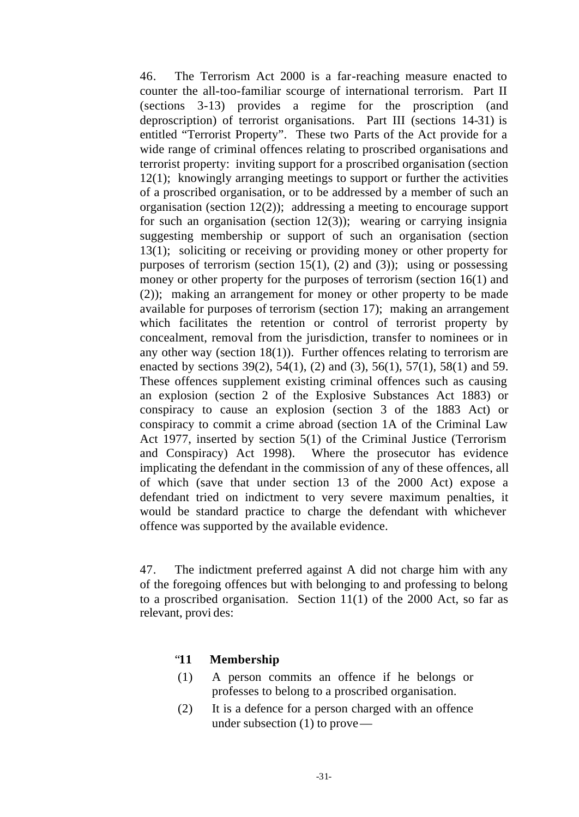46. The Terrorism Act 2000 is a far-reaching measure enacted to counter the all-too-familiar scourge of international terrorism. Part II (sections 3-13) provides a regime for the proscription (and deproscription) of terrorist organisations. Part III (sections 14-31) is entitled "Terrorist Property". These two Parts of the Act provide for a wide range of criminal offences relating to proscribed organisations and terrorist property: inviting support for a proscribed organisation (section 12(1); knowingly arranging meetings to support or further the activities of a proscribed organisation, or to be addressed by a member of such an organisation (section 12(2)); addressing a meeting to encourage support for such an organisation (section  $12(3)$ ); wearing or carrying insignia suggesting membership or support of such an organisation (section 13(1); soliciting or receiving or providing money or other property for purposes of terrorism (section 15(1), (2) and (3)); using or possessing money or other property for the purposes of terrorism (section 16(1) and (2)); making an arrangement for money or other property to be made available for purposes of terrorism (section 17); making an arrangement which facilitates the retention or control of terrorist property by concealment, removal from the jurisdiction, transfer to nominees or in any other way (section 18(1)). Further offences relating to terrorism are enacted by sections  $39(2)$ ,  $54(1)$ ,  $(2)$  and  $(3)$ ,  $56(1)$ ,  $57(1)$ ,  $58(1)$  and  $59$ . These offences supplement existing criminal offences such as causing an explosion (section 2 of the Explosive Substances Act 1883) or conspiracy to cause an explosion (section 3 of the 1883 Act) or conspiracy to commit a crime abroad (section 1A of the Criminal Law Act 1977, inserted by section 5(1) of the Criminal Justice (Terrorism and Conspiracy) Act 1998). Where the prosecutor has evidence implicating the defendant in the commission of any of these offences, all of which (save that under section 13 of the 2000 Act) expose a defendant tried on indictment to very severe maximum penalties, it would be standard practice to charge the defendant with whichever offence was supported by the available evidence.

47. The indictment preferred against A did not charge him with any of the foregoing offences but with belonging to and professing to belong to a proscribed organisation. Section 11(1) of the 2000 Act, so far as relevant, provi des:

#### "**11 Membership**

- (1) A person commits an offence if he belongs or professes to belong to a proscribed organisation.
- (2) It is a defence for a person charged with an offence under subsection (1) to prove—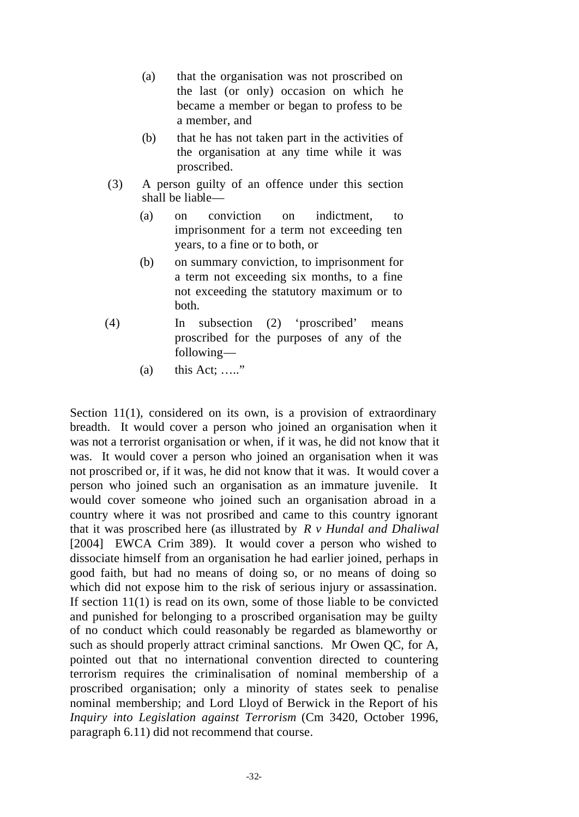- (a) that the organisation was not proscribed on the last (or only) occasion on which he became a member or began to profess to be a member, and
- (b) that he has not taken part in the activities of the organisation at any time while it was proscribed.
- (3) A person guilty of an offence under this section shall be liable—
	- (a) on conviction on indictment, to imprisonment for a term not exceeding ten years, to a fine or to both, or
	- (b) on summary conviction, to imprisonment for a term not exceeding six months, to a fine not exceeding the statutory maximum or to both.
- (4) In subsection (2) 'proscribed' means proscribed for the purposes of any of the following—
	- (a) this Act; ….."

Section 11(1), considered on its own, is a provision of extraordinary breadth. It would cover a person who joined an organisation when it was not a terrorist organisation or when, if it was, he did not know that it was. It would cover a person who joined an organisation when it was not proscribed or, if it was, he did not know that it was. It would cover a person who joined such an organisation as an immature juvenile. It would cover someone who joined such an organisation abroad in a country where it was not prosribed and came to this country ignorant that it was proscribed here (as illustrated by *R v Hundal and Dhaliwal* [2004] EWCA Crim 389). It would cover a person who wished to dissociate himself from an organisation he had earlier joined, perhaps in good faith, but had no means of doing so, or no means of doing so which did not expose him to the risk of serious injury or assassination. If section 11(1) is read on its own, some of those liable to be convicted and punished for belonging to a proscribed organisation may be guilty of no conduct which could reasonably be regarded as blameworthy or such as should properly attract criminal sanctions. Mr Owen QC, for A, pointed out that no international convention directed to countering terrorism requires the criminalisation of nominal membership of a proscribed organisation; only a minority of states seek to penalise nominal membership; and Lord Lloyd of Berwick in the Report of his *Inquiry into Legislation against Terrorism* (Cm 3420, October 1996, paragraph 6.11) did not recommend that course.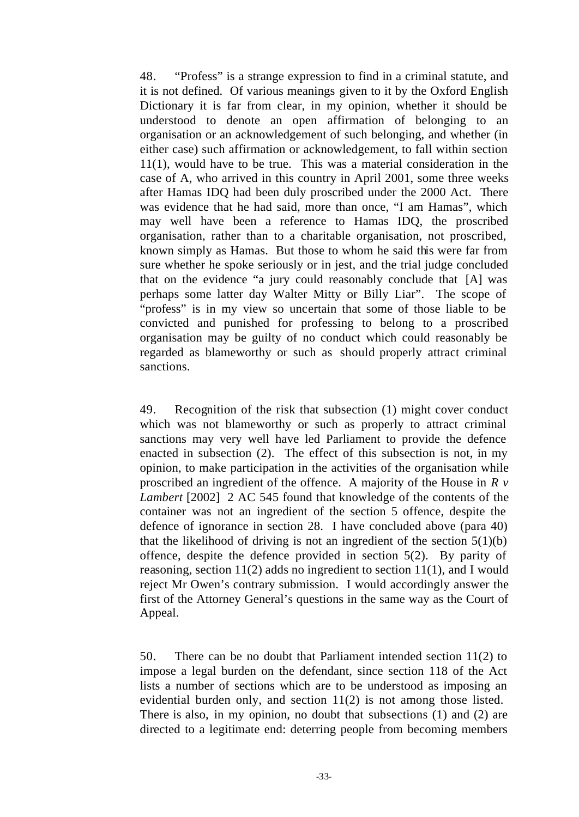48. "Profess" is a strange expression to find in a criminal statute, and it is not defined. Of various meanings given to it by the Oxford English Dictionary it is far from clear, in my opinion, whether it should be understood to denote an open affirmation of belonging to an organisation or an acknowledgement of such belonging, and whether (in either case) such affirmation or acknowledgement, to fall within section 11(1), would have to be true. This was a material consideration in the case of A, who arrived in this country in April 2001, some three weeks after Hamas IDQ had been duly proscribed under the 2000 Act. There was evidence that he had said, more than once, "I am Hamas", which may well have been a reference to Hamas IDQ, the proscribed organisation, rather than to a charitable organisation, not proscribed, known simply as Hamas. But those to whom he said this were far from sure whether he spoke seriously or in jest, and the trial judge concluded that on the evidence "a jury could reasonably conclude that [A] was perhaps some latter day Walter Mitty or Billy Liar". The scope of "profess" is in my view so uncertain that some of those liable to be convicted and punished for professing to belong to a proscribed organisation may be guilty of no conduct which could reasonably be regarded as blameworthy or such as should properly attract criminal sanctions.

49. Recognition of the risk that subsection (1) might cover conduct which was not blameworthy or such as properly to attract criminal sanctions may very well have led Parliament to provide the defence enacted in subsection (2). The effect of this subsection is not, in my opinion, to make participation in the activities of the organisation while proscribed an ingredient of the offence. A majority of the House in *R v Lambert* [2002] 2 AC 545 found that knowledge of the contents of the container was not an ingredient of the section 5 offence, despite the defence of ignorance in section 28. I have concluded above (para 40) that the likelihood of driving is not an ingredient of the section  $5(1)(b)$ offence, despite the defence provided in section 5(2). By parity of reasoning, section 11(2) adds no ingredient to section 11(1), and I would reject Mr Owen's contrary submission. I would accordingly answer the first of the Attorney General's questions in the same way as the Court of Appeal.

50. There can be no doubt that Parliament intended section 11(2) to impose a legal burden on the defendant, since section 118 of the Act lists a number of sections which are to be understood as imposing an evidential burden only, and section 11(2) is not among those listed. There is also, in my opinion, no doubt that subsections (1) and (2) are directed to a legitimate end: deterring people from becoming members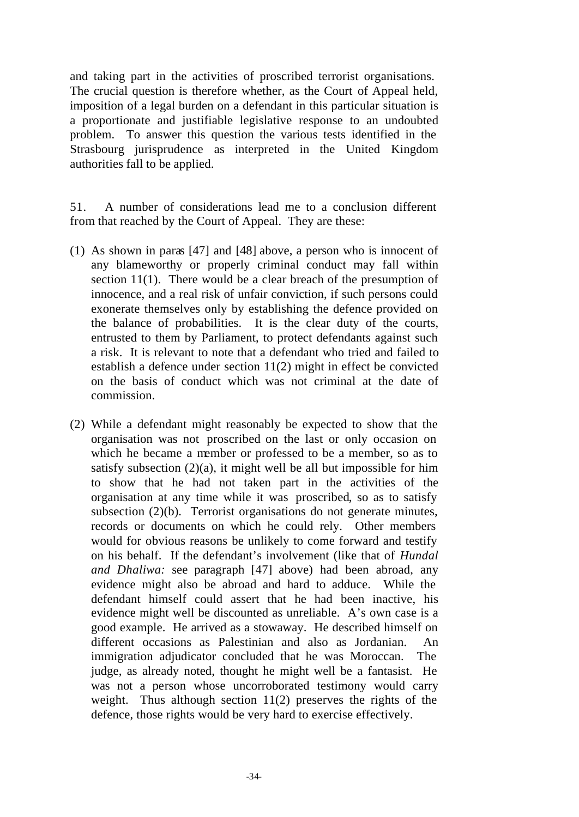and taking part in the activities of proscribed terrorist organisations. The crucial question is therefore whether, as the Court of Appeal held, imposition of a legal burden on a defendant in this particular situation is a proportionate and justifiable legislative response to an undoubted problem. To answer this question the various tests identified in the Strasbourg jurisprudence as interpreted in the United Kingdom authorities fall to be applied.

51. A number of considerations lead me to a conclusion different from that reached by the Court of Appeal. They are these:

- (1) As shown in paras [47] and [48] above, a person who is innocent of any blameworthy or properly criminal conduct may fall within section 11(1). There would be a clear breach of the presumption of innocence, and a real risk of unfair conviction, if such persons could exonerate themselves only by establishing the defence provided on the balance of probabilities. It is the clear duty of the courts, entrusted to them by Parliament, to protect defendants against such a risk. It is relevant to note that a defendant who tried and failed to establish a defence under section 11(2) might in effect be convicted on the basis of conduct which was not criminal at the date of commission.
- (2) While a defendant might reasonably be expected to show that the organisation was not proscribed on the last or only occasion on which he became a member or professed to be a member, so as to satisfy subsection  $(2)(a)$ , it might well be all but impossible for him to show that he had not taken part in the activities of the organisation at any time while it was proscribed, so as to satisfy subsection (2)(b). Terrorist organisations do not generate minutes, records or documents on which he could rely. Other members would for obvious reasons be unlikely to come forward and testify on his behalf. If the defendant's involvement (like that of *Hundal and Dhaliwa:* see paragraph [47] above) had been abroad, any evidence might also be abroad and hard to adduce. While the defendant himself could assert that he had been inactive, his evidence might well be discounted as unreliable. A's own case is a good example. He arrived as a stowaway. He described himself on different occasions as Palestinian and also as Jordanian. An immigration adjudicator concluded that he was Moroccan. The judge, as already noted, thought he might well be a fantasist. He was not a person whose uncorroborated testimony would carry weight. Thus although section 11(2) preserves the rights of the defence, those rights would be very hard to exercise effectively.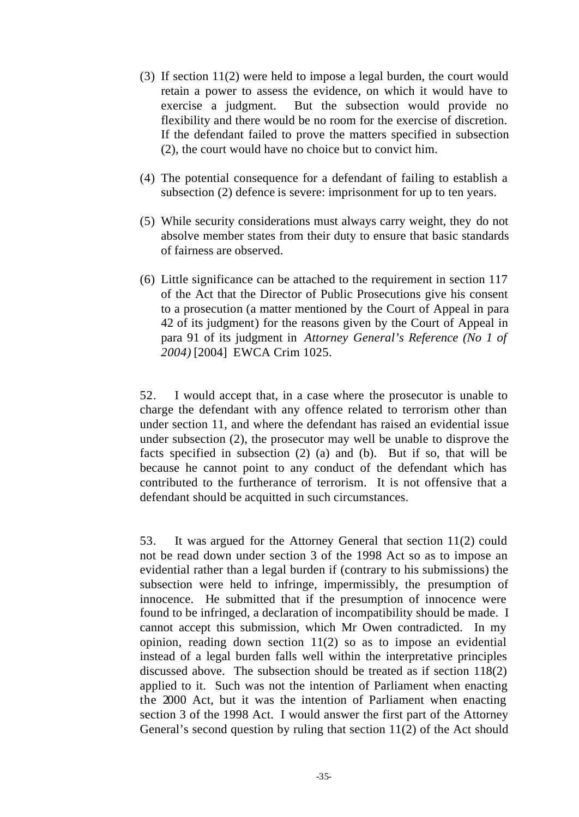- (3) If section 11(2) were held to impose a legal burden, the court would retain a power to assess the evidence, on which it would have to exercise a judgment. But the subsection would provide no flexibility and there would be no room for the exercise of discretion. If the defendant failed to prove the matters specified in subsection (2), the court would have no choice but to convict him.
- (4) The potential consequence for a defendant of failing to establish a subsection (2) defence is severe: imprisonment for up to ten years.
- (5) While security considerations must always carry weight, they do not absolve member states from their duty to ensure that basic standards of fairness are observed.
- (6) Little significance can be attached to the requirement in section 117 of the Act that the Director of Public Prosecutions give his consent to a prosecution (a matter mentioned by the Court of Appeal in para 42 of its judgment) for the reasons given by the Court of Appeal in para 91 of its judgment in *Attorney General's Reference (No 1 of 2004)* [2004] EWCA Crim 1025.

52. I would accept that, in a case where the prosecutor is unable to charge the defendant with any offence related to terrorism other than under section 11, and where the defendant has raised an evidential issue under subsection (2), the prosecutor may well be unable to disprove the facts specified in subsection (2) (a) and (b). But if so, that will be because he cannot point to any conduct of the defendant which has contributed to the furtherance of terrorism. It is not offensive that a defendant should be acquitted in such circumstances.

53. It was argued for the Attorney General that section 11(2) could not be read down under section 3 of the 1998 Act so as to impose an evidential rather than a legal burden if (contrary to his submissions) the subsection were held to infringe, impermissibly, the presumption of innocence. He submitted that if the presumption of innocence were found to be infringed, a declaration of incompatibility should be made. I cannot accept this submission, which Mr Owen contradicted. In my opinion, reading down section 11(2) so as to impose an evidential instead of a legal burden falls well within the interpretative principles discussed above. The subsection should be treated as if section 118(2) applied to it. Such was not the intention of Parliament when enacting the 2000 Act, but it was the intention of Parliament when enacting section 3 of the 1998 Act. I would answer the first part of the Attorney General's second question by ruling that section 11(2) of the Act should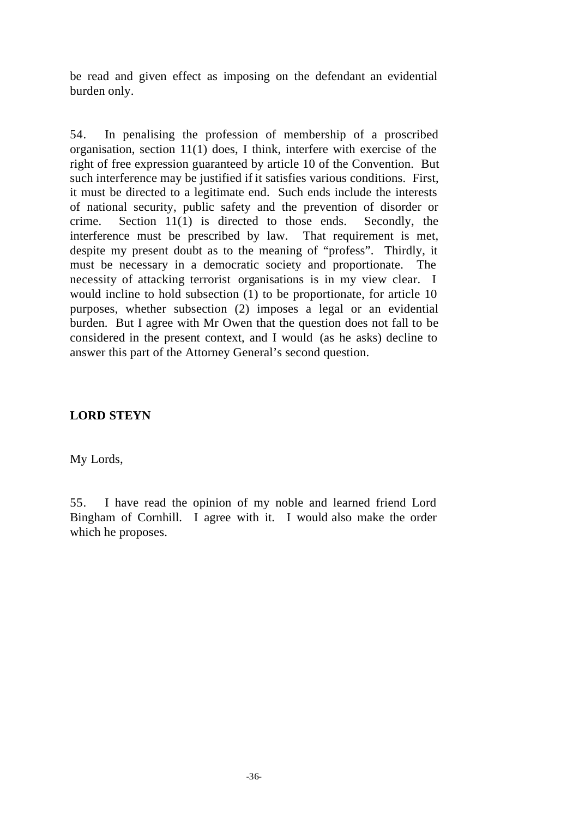be read and given effect as imposing on the defendant an evidential burden only.

54. In penalising the profession of membership of a proscribed organisation, section 11(1) does, I think, interfere with exercise of the right of free expression guaranteed by article 10 of the Convention. But such interference may be justified if it satisfies various conditions. First, it must be directed to a legitimate end. Such ends include the interests of national security, public safety and the prevention of disorder or crime. Section 11(1) is directed to those ends. Secondly, the interference must be prescribed by law. That requirement is met, despite my present doubt as to the meaning of "profess". Thirdly, it must be necessary in a democratic society and proportionate. The necessity of attacking terrorist organisations is in my view clear. I would incline to hold subsection (1) to be proportionate, for article 10 purposes, whether subsection (2) imposes a legal or an evidential burden. But I agree with Mr Owen that the question does not fall to be considered in the present context, and I would (as he asks) decline to answer this part of the Attorney General's second question.

#### **LORD STEYN**

My Lords,

55. I have read the opinion of my noble and learned friend Lord Bingham of Cornhill. I agree with it. I would also make the order which he proposes.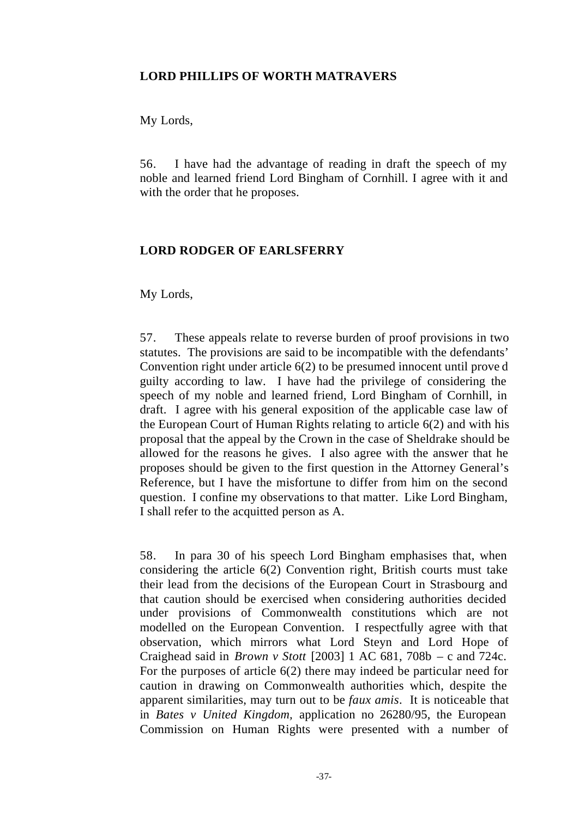#### **LORD PHILLIPS OF WORTH MATRAVERS**

My Lords,

56. I have had the advantage of reading in draft the speech of my noble and learned friend Lord Bingham of Cornhill. I agree with it and with the order that he proposes.

#### **LORD RODGER OF EARLSFERRY**

My Lords,

57. These appeals relate to reverse burden of proof provisions in two statutes. The provisions are said to be incompatible with the defendants' Convention right under article 6(2) to be presumed innocent until prove d guilty according to law. I have had the privilege of considering the speech of my noble and learned friend, Lord Bingham of Cornhill, in draft. I agree with his general exposition of the applicable case law of the European Court of Human Rights relating to article 6(2) and with his proposal that the appeal by the Crown in the case of Sheldrake should be allowed for the reasons he gives. I also agree with the answer that he proposes should be given to the first question in the Attorney General's Reference, but I have the misfortune to differ from him on the second question. I confine my observations to that matter. Like Lord Bingham, I shall refer to the acquitted person as A.

58. In para 30 of his speech Lord Bingham emphasises that, when considering the article 6(2) Convention right, British courts must take their lead from the decisions of the European Court in Strasbourg and that caution should be exercised when considering authorities decided under provisions of Commonwealth constitutions which are not modelled on the European Convention. I respectfully agree with that observation, which mirrors what Lord Steyn and Lord Hope of Craighead said in *Brown v Stott* [2003] 1 AC 681, 708b – c and 724c. For the purposes of article 6(2) there may indeed be particular need for caution in drawing on Commonwealth authorities which, despite the apparent similarities, may turn out to be *faux amis*. It is noticeable that in *Bates v United Kingdom,* application no 26280/95, the European Commission on Human Rights were presented with a number of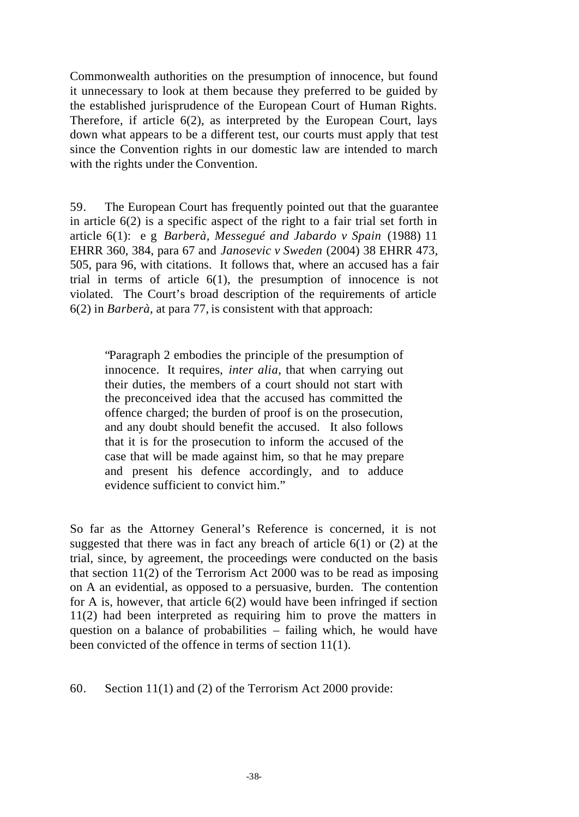Commonwealth authorities on the presumption of innocence, but found it unnecessary to look at them because they preferred to be guided by the established jurisprudence of the European Court of Human Rights. Therefore, if article 6(2), as interpreted by the European Court, lays down what appears to be a different test, our courts must apply that test since the Convention rights in our domestic law are intended to march with the rights under the Convention.

59. The European Court has frequently pointed out that the guarantee in article 6(2) is a specific aspect of the right to a fair trial set forth in article 6(1): e g *Barberà, Messegué and Jabardo v Spain* (1988) 11 EHRR 360, 384, para 67 and *Janosevic v Sweden* (2004) 38 EHRR 473, 505, para 96, with citations. It follows that, where an accused has a fair trial in terms of article 6(1), the presumption of innocence is not violated. The Court's broad description of the requirements of article 6(2) in *Barberà*, at para 77, is consistent with that approach:

"Paragraph 2 embodies the principle of the presumption of innocence. It requires, *inter alia*, that when carrying out their duties, the members of a court should not start with the preconceived idea that the accused has committed the offence charged; the burden of proof is on the prosecution, and any doubt should benefit the accused. It also follows that it is for the prosecution to inform the accused of the case that will be made against him, so that he may prepare and present his defence accordingly, and to adduce evidence sufficient to convict him."

So far as the Attorney General's Reference is concerned, it is not suggested that there was in fact any breach of article 6(1) or (2) at the trial, since, by agreement, the proceedings were conducted on the basis that section 11(2) of the Terrorism Act 2000 was to be read as imposing on A an evidential, as opposed to a persuasive, burden. The contention for A is, however, that article  $6(2)$  would have been infringed if section 11(2) had been interpreted as requiring him to prove the matters in question on a balance of probabilities – failing which, he would have been convicted of the offence in terms of section 11(1).

60. Section 11(1) and (2) of the Terrorism Act 2000 provide: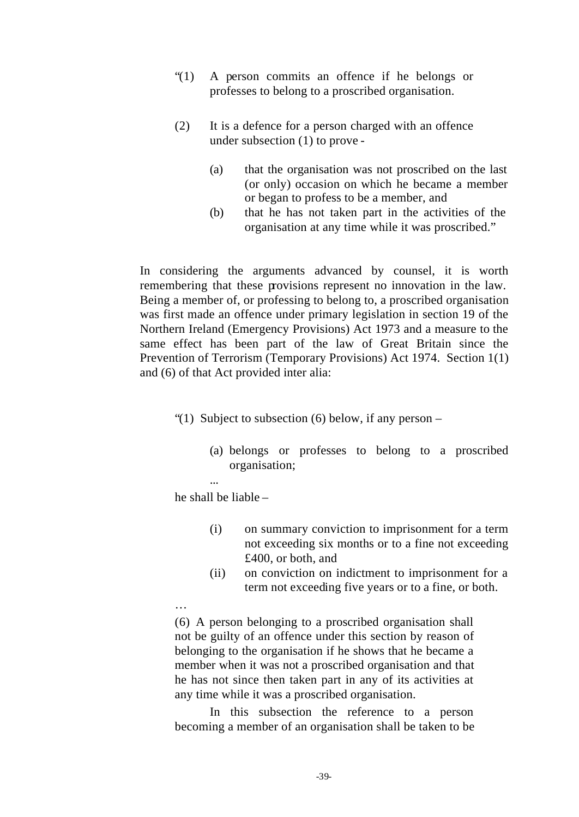- "(1) A person commits an offence if he belongs or professes to belong to a proscribed organisation.
- (2) It is a defence for a person charged with an offence under subsection (1) to prove -
	- (a) that the organisation was not proscribed on the last (or only) occasion on which he became a member or began to profess to be a member, and
	- (b) that he has not taken part in the activities of the organisation at any time while it was proscribed."

In considering the arguments advanced by counsel, it is worth remembering that these provisions represent no innovation in the law. Being a member of, or professing to belong to, a proscribed organisation was first made an offence under primary legislation in section 19 of the Northern Ireland (Emergency Provisions) Act 1973 and a measure to the same effect has been part of the law of Great Britain since the Prevention of Terrorism (Temporary Provisions) Act 1974. Section 1(1) and (6) of that Act provided inter alia:

- "(1) Subject to subsection (6) below, if any person  $-$ 
	- (a) belongs or professes to belong to a proscribed organisation;

he shall be liable –

...

- (i) on summary conviction to imprisonment for a term not exceeding six months or to a fine not exceeding £400, or both, and
- (ii) on conviction on indictment to imprisonment for a term not exceeding five years or to a fine, or both.

…

(6) A person belonging to a proscribed organisation shall not be guilty of an offence under this section by reason of belonging to the organisation if he shows that he became a member when it was not a proscribed organisation and that he has not since then taken part in any of its activities at any time while it was a proscribed organisation.

In this subsection the reference to a person becoming a member of an organisation shall be taken to be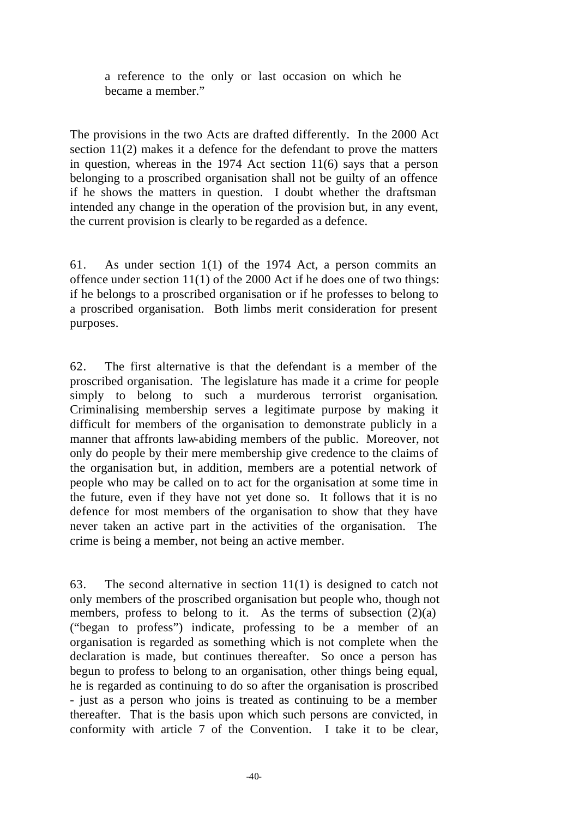a reference to the only or last occasion on which he became a member."

The provisions in the two Acts are drafted differently. In the 2000 Act section 11(2) makes it a defence for the defendant to prove the matters in question, whereas in the 1974 Act section 11(6) says that a person belonging to a proscribed organisation shall not be guilty of an offence if he shows the matters in question. I doubt whether the draftsman intended any change in the operation of the provision but, in any event, the current provision is clearly to be regarded as a defence.

61. As under section 1(1) of the 1974 Act, a person commits an offence under section 11(1) of the 2000 Act if he does one of two things: if he belongs to a proscribed organisation or if he professes to belong to a proscribed organisation. Both limbs merit consideration for present purposes.

62. The first alternative is that the defendant is a member of the proscribed organisation. The legislature has made it a crime for people simply to belong to such a murderous terrorist organisation. Criminalising membership serves a legitimate purpose by making it difficult for members of the organisation to demonstrate publicly in a manner that affronts law-abiding members of the public. Moreover, not only do people by their mere membership give credence to the claims of the organisation but, in addition, members are a potential network of people who may be called on to act for the organisation at some time in the future, even if they have not yet done so. It follows that it is no defence for most members of the organisation to show that they have never taken an active part in the activities of the organisation. The crime is being a member, not being an active member.

63. The second alternative in section 11(1) is designed to catch not only members of the proscribed organisation but people who, though not members, profess to belong to it. As the terms of subsection  $(2)(a)$ ("began to profess") indicate, professing to be a member of an organisation is regarded as something which is not complete when the declaration is made, but continues thereafter. So once a person has begun to profess to belong to an organisation, other things being equal, he is regarded as continuing to do so after the organisation is proscribed - just as a person who joins is treated as continuing to be a member thereafter. That is the basis upon which such persons are convicted, in conformity with article 7 of the Convention. I take it to be clear,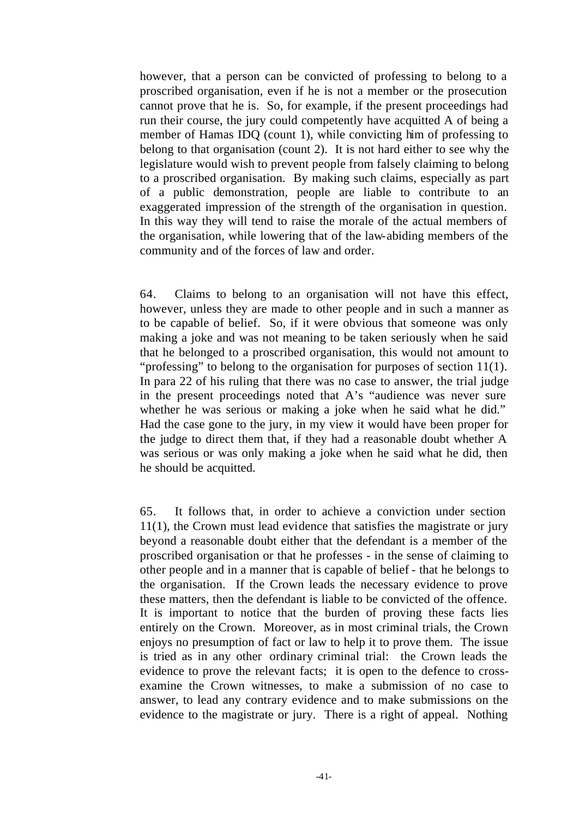however, that a person can be convicted of professing to belong to a proscribed organisation, even if he is not a member or the prosecution cannot prove that he is. So, for example, if the present proceedings had run their course, the jury could competently have acquitted A of being a member of Hamas IDQ (count 1), while convicting him of professing to belong to that organisation (count 2). It is not hard either to see why the legislature would wish to prevent people from falsely claiming to belong to a proscribed organisation. By making such claims, especially as part of a public demonstration, people are liable to contribute to an exaggerated impression of the strength of the organisation in question. In this way they will tend to raise the morale of the actual members of the organisation, while lowering that of the law-abiding members of the community and of the forces of law and order.

64. Claims to belong to an organisation will not have this effect, however, unless they are made to other people and in such a manner as to be capable of belief. So, if it were obvious that someone was only making a joke and was not meaning to be taken seriously when he said that he belonged to a proscribed organisation, this would not amount to "professing" to belong to the organisation for purposes of section 11(1). In para 22 of his ruling that there was no case to answer, the trial judge in the present proceedings noted that A's "audience was never sure whether he was serious or making a joke when he said what he did." Had the case gone to the jury, in my view it would have been proper for the judge to direct them that, if they had a reasonable doubt whether A was serious or was only making a joke when he said what he did, then he should be acquitted.

65. It follows that, in order to achieve a conviction under section 11(1), the Crown must lead evidence that satisfies the magistrate or jury beyond a reasonable doubt either that the defendant is a member of the proscribed organisation or that he professes - in the sense of claiming to other people and in a manner that is capable of belief - that he belongs to the organisation. If the Crown leads the necessary evidence to prove these matters, then the defendant is liable to be convicted of the offence. It is important to notice that the burden of proving these facts lies entirely on the Crown. Moreover, as in most criminal trials, the Crown enjoys no presumption of fact or law to help it to prove them. The issue is tried as in any other ordinary criminal trial: the Crown leads the evidence to prove the relevant facts; it is open to the defence to crossexamine the Crown witnesses, to make a submission of no case to answer, to lead any contrary evidence and to make submissions on the evidence to the magistrate or jury. There is a right of appeal. Nothing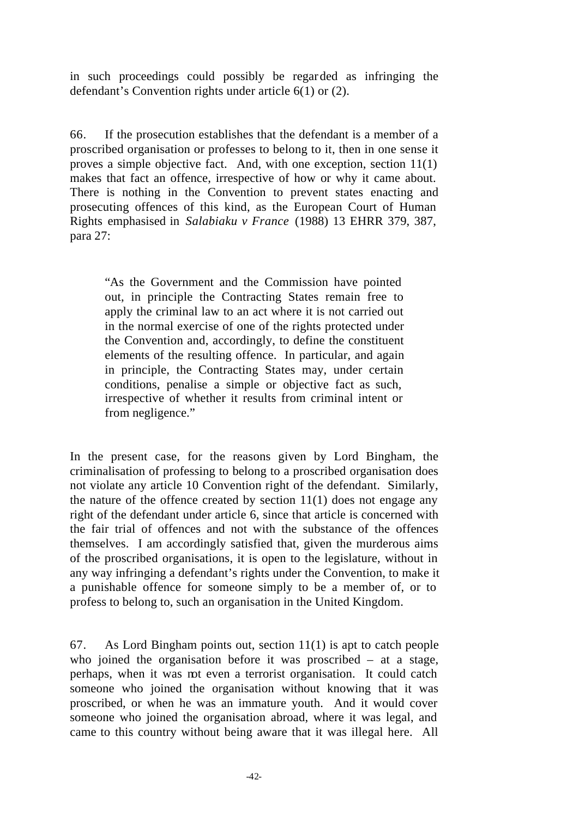in such proceedings could possibly be regarded as infringing the defendant's Convention rights under article 6(1) or (2).

66. If the prosecution establishes that the defendant is a member of a proscribed organisation or professes to belong to it, then in one sense it proves a simple objective fact. And, with one exception, section 11(1) makes that fact an offence, irrespective of how or why it came about. There is nothing in the Convention to prevent states enacting and prosecuting offences of this kind, as the European Court of Human Rights emphasised in *Salabiaku v France* (1988) 13 EHRR 379, 387, para 27:

"As the Government and the Commission have pointed out, in principle the Contracting States remain free to apply the criminal law to an act where it is not carried out in the normal exercise of one of the rights protected under the Convention and, accordingly, to define the constituent elements of the resulting offence. In particular, and again in principle, the Contracting States may, under certain conditions, penalise a simple or objective fact as such, irrespective of whether it results from criminal intent or from negligence."

In the present case, for the reasons given by Lord Bingham, the criminalisation of professing to belong to a proscribed organisation does not violate any article 10 Convention right of the defendant. Similarly, the nature of the offence created by section  $11(1)$  does not engage any right of the defendant under article 6, since that article is concerned with the fair trial of offences and not with the substance of the offences themselves. I am accordingly satisfied that, given the murderous aims of the proscribed organisations, it is open to the legislature, without in any way infringing a defendant's rights under the Convention, to make it a punishable offence for someone simply to be a member of, or to profess to belong to, such an organisation in the United Kingdom.

67. As Lord Bingham points out, section 11(1) is apt to catch people who joined the organisation before it was proscribed – at a stage, perhaps, when it was not even a terrorist organisation. It could catch someone who joined the organisation without knowing that it was proscribed, or when he was an immature youth. And it would cover someone who joined the organisation abroad, where it was legal, and came to this country without being aware that it was illegal here. All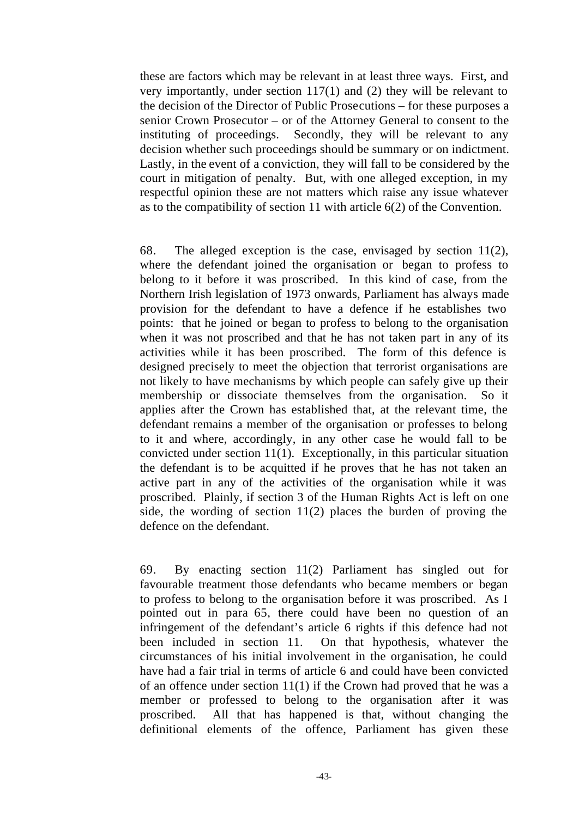these are factors which may be relevant in at least three ways. First, and very importantly, under section 117(1) and (2) they will be relevant to the decision of the Director of Public Prosecutions – for these purposes a senior Crown Prosecutor – or of the Attorney General to consent to the instituting of proceedings. Secondly, they will be relevant to any decision whether such proceedings should be summary or on indictment. Lastly, in the event of a conviction, they will fall to be considered by the court in mitigation of penalty. But, with one alleged exception, in my respectful opinion these are not matters which raise any issue whatever as to the compatibility of section 11 with article 6(2) of the Convention.

68. The alleged exception is the case, envisaged by section 11(2), where the defendant joined the organisation or began to profess to belong to it before it was proscribed. In this kind of case, from the Northern Irish legislation of 1973 onwards, Parliament has always made provision for the defendant to have a defence if he establishes two points: that he joined or began to profess to belong to the organisation when it was not proscribed and that he has not taken part in any of its activities while it has been proscribed. The form of this defence is designed precisely to meet the objection that terrorist organisations are not likely to have mechanisms by which people can safely give up their membership or dissociate themselves from the organisation. So it applies after the Crown has established that, at the relevant time, the defendant remains a member of the organisation or professes to belong to it and where, accordingly, in any other case he would fall to be convicted under section 11(1). Exceptionally, in this particular situation the defendant is to be acquitted if he proves that he has not taken an active part in any of the activities of the organisation while it was proscribed. Plainly, if section 3 of the Human Rights Act is left on one side, the wording of section 11(2) places the burden of proving the defence on the defendant.

69. By enacting section 11(2) Parliament has singled out for favourable treatment those defendants who became members or began to profess to belong to the organisation before it was proscribed. As I pointed out in para 65, there could have been no question of an infringement of the defendant's article 6 rights if this defence had not been included in section 11. On that hypothesis, whatever the circumstances of his initial involvement in the organisation, he could have had a fair trial in terms of article 6 and could have been convicted of an offence under section 11(1) if the Crown had proved that he was a member or professed to belong to the organisation after it was proscribed. All that has happened is that, without changing the definitional elements of the offence, Parliament has given these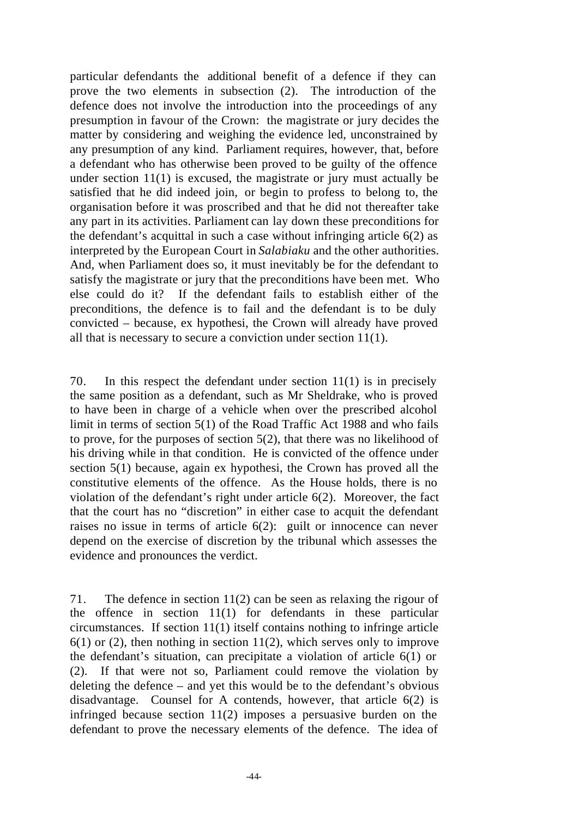particular defendants the additional benefit of a defence if they can prove the two elements in subsection (2). The introduction of the defence does not involve the introduction into the proceedings of any presumption in favour of the Crown: the magistrate or jury decides the matter by considering and weighing the evidence led, unconstrained by any presumption of any kind. Parliament requires, however, that, before a defendant who has otherwise been proved to be guilty of the offence under section 11(1) is excused, the magistrate or jury must actually be satisfied that he did indeed join, or begin to profess to belong to, the organisation before it was proscribed and that he did not thereafter take any part in its activities. Parliament can lay down these preconditions for the defendant's acquittal in such a case without infringing article 6(2) as interpreted by the European Court in *Salabiaku* and the other authorities. And, when Parliament does so, it must inevitably be for the defendant to satisfy the magistrate or jury that the preconditions have been met. Who else could do it? If the defendant fails to establish either of the preconditions, the defence is to fail and the defendant is to be duly convicted – because, ex hypothesi, the Crown will already have proved all that is necessary to secure a conviction under section 11(1).

70. In this respect the defendant under section 11(1) is in precisely the same position as a defendant, such as Mr Sheldrake, who is proved to have been in charge of a vehicle when over the prescribed alcohol limit in terms of section 5(1) of the Road Traffic Act 1988 and who fails to prove, for the purposes of section 5(2), that there was no likelihood of his driving while in that condition. He is convicted of the offence under section 5(1) because, again ex hypothesi, the Crown has proved all the constitutive elements of the offence. As the House holds, there is no violation of the defendant's right under article 6(2). Moreover, the fact that the court has no "discretion" in either case to acquit the defendant raises no issue in terms of article 6(2): guilt or innocence can never depend on the exercise of discretion by the tribunal which assesses the evidence and pronounces the verdict.

71. The defence in section 11(2) can be seen as relaxing the rigour of the offence in section 11(1) for defendants in these particular circumstances. If section 11(1) itself contains nothing to infringe article  $6(1)$  or (2), then nothing in section 11(2), which serves only to improve the defendant's situation, can precipitate a violation of article 6(1) or (2). If that were not so, Parliament could remove the violation by deleting the defence – and yet this would be to the defendant's obvious disadvantage. Counsel for A contends, however, that article 6(2) is infringed because section 11(2) imposes a persuasive burden on the defendant to prove the necessary elements of the defence. The idea of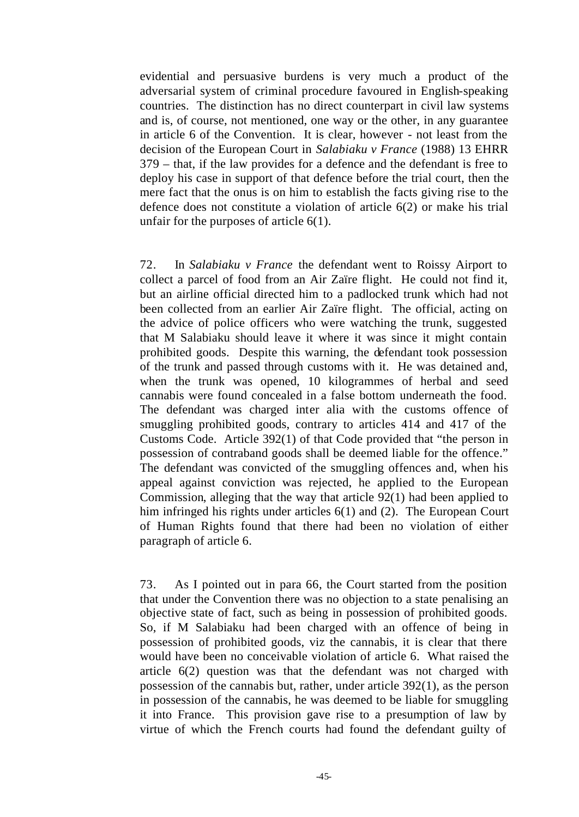evidential and persuasive burdens is very much a product of the adversarial system of criminal procedure favoured in English-speaking countries. The distinction has no direct counterpart in civil law systems and is, of course, not mentioned, one way or the other, in any guarantee in article 6 of the Convention. It is clear, however - not least from the decision of the European Court in *Salabiaku v France* (1988) 13 EHRR 379 – that, if the law provides for a defence and the defendant is free to deploy his case in support of that defence before the trial court, then the mere fact that the onus is on him to establish the facts giving rise to the defence does not constitute a violation of article 6(2) or make his trial unfair for the purposes of article 6(1).

72. In *Salabiaku v France* the defendant went to Roissy Airport to collect a parcel of food from an Air Zaïre flight. He could not find it, but an airline official directed him to a padlocked trunk which had not been collected from an earlier Air Zaïre flight. The official, acting on the advice of police officers who were watching the trunk, suggested that M Salabiaku should leave it where it was since it might contain prohibited goods. Despite this warning, the defendant took possession of the trunk and passed through customs with it. He was detained and, when the trunk was opened, 10 kilogrammes of herbal and seed cannabis were found concealed in a false bottom underneath the food. The defendant was charged inter alia with the customs offence of smuggling prohibited goods, contrary to articles 414 and 417 of the Customs Code. Article 392(1) of that Code provided that "the person in possession of contraband goods shall be deemed liable for the offence." The defendant was convicted of the smuggling offences and, when his appeal against conviction was rejected, he applied to the European Commission, alleging that the way that article 92(1) had been applied to him infringed his rights under articles 6(1) and (2). The European Court of Human Rights found that there had been no violation of either paragraph of article 6.

73. As I pointed out in para 66, the Court started from the position that under the Convention there was no objection to a state penalising an objective state of fact, such as being in possession of prohibited goods. So, if M Salabiaku had been charged with an offence of being in possession of prohibited goods, viz the cannabis, it is clear that there would have been no conceivable violation of article 6. What raised the article 6(2) question was that the defendant was not charged with possession of the cannabis but, rather, under article 392(1), as the person in possession of the cannabis, he was deemed to be liable for smuggling it into France. This provision gave rise to a presumption of law by virtue of which the French courts had found the defendant guilty of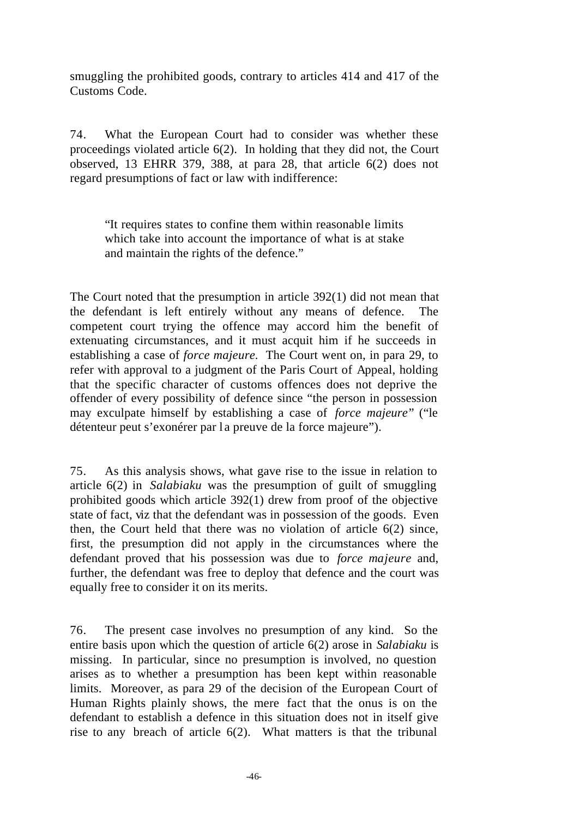smuggling the prohibited goods, contrary to articles 414 and 417 of the Customs Code.

74. What the European Court had to consider was whether these proceedings violated article 6(2). In holding that they did not, the Court observed, 13 EHRR 379, 388, at para 28, that article 6(2) does not regard presumptions of fact or law with indifference:

"It requires states to confine them within reasonable limits which take into account the importance of what is at stake and maintain the rights of the defence."

The Court noted that the presumption in article 392(1) did not mean that the defendant is left entirely without any means of defence. The competent court trying the offence may accord him the benefit of extenuating circumstances, and it must acquit him if he succeeds in establishing a case of *force majeure.* The Court went on, in para 29, to refer with approval to a judgment of the Paris Court of Appeal, holding that the specific character of customs offences does not deprive the offender of every possibility of defence since "the person in possession may exculpate himself by establishing a case of *force majeure*" ("le détenteur peut s'exonérer par la preuve de la force majeure").

75. As this analysis shows, what gave rise to the issue in relation to article 6(2) in *Salabiaku* was the presumption of guilt of smuggling prohibited goods which article 392(1) drew from proof of the objective state of fact, viz that the defendant was in possession of the goods. Even then, the Court held that there was no violation of article 6(2) since, first, the presumption did not apply in the circumstances where the defendant proved that his possession was due to *force majeure* and, further, the defendant was free to deploy that defence and the court was equally free to consider it on its merits.

76. The present case involves no presumption of any kind. So the entire basis upon which the question of article 6(2) arose in *Salabiaku* is missing. In particular, since no presumption is involved, no question arises as to whether a presumption has been kept within reasonable limits. Moreover, as para 29 of the decision of the European Court of Human Rights plainly shows, the mere fact that the onus is on the defendant to establish a defence in this situation does not in itself give rise to any breach of article 6(2). What matters is that the tribunal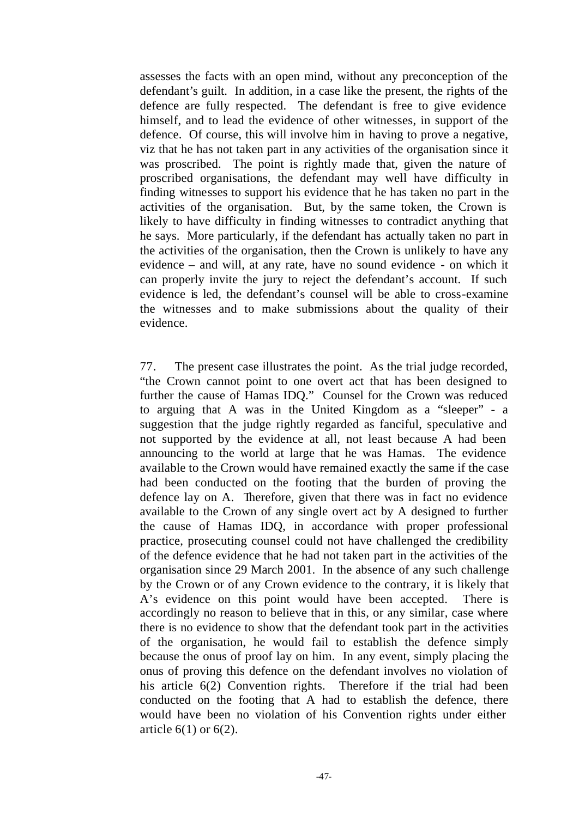assesses the facts with an open mind, without any preconception of the defendant's guilt. In addition, in a case like the present, the rights of the defence are fully respected. The defendant is free to give evidence himself, and to lead the evidence of other witnesses, in support of the defence. Of course, this will involve him in having to prove a negative, viz that he has not taken part in any activities of the organisation since it was proscribed. The point is rightly made that, given the nature of proscribed organisations, the defendant may well have difficulty in finding witnesses to support his evidence that he has taken no part in the activities of the organisation. But, by the same token, the Crown is likely to have difficulty in finding witnesses to contradict anything that he says. More particularly, if the defendant has actually taken no part in the activities of the organisation, then the Crown is unlikely to have any evidence – and will, at any rate, have no sound evidence - on which it can properly invite the jury to reject the defendant's account. If such evidence is led, the defendant's counsel will be able to cross-examine the witnesses and to make submissions about the quality of their evidence.

77. The present case illustrates the point. As the trial judge recorded, "the Crown cannot point to one overt act that has been designed to further the cause of Hamas IDQ." Counsel for the Crown was reduced to arguing that A was in the United Kingdom as a "sleeper" - a suggestion that the judge rightly regarded as fanciful, speculative and not supported by the evidence at all, not least because A had been announcing to the world at large that he was Hamas. The evidence available to the Crown would have remained exactly the same if the case had been conducted on the footing that the burden of proving the defence lay on A. Therefore, given that there was in fact no evidence available to the Crown of any single overt act by A designed to further the cause of Hamas IDQ, in accordance with proper professional practice, prosecuting counsel could not have challenged the credibility of the defence evidence that he had not taken part in the activities of the organisation since 29 March 2001. In the absence of any such challenge by the Crown or of any Crown evidence to the contrary, it is likely that A's evidence on this point would have been accepted. There is accordingly no reason to believe that in this, or any similar, case where there is no evidence to show that the defendant took part in the activities of the organisation, he would fail to establish the defence simply because the onus of proof lay on him. In any event, simply placing the onus of proving this defence on the defendant involves no violation of his article 6(2) Convention rights. Therefore if the trial had been conducted on the footing that A had to establish the defence, there would have been no violation of his Convention rights under either article 6(1) or 6(2).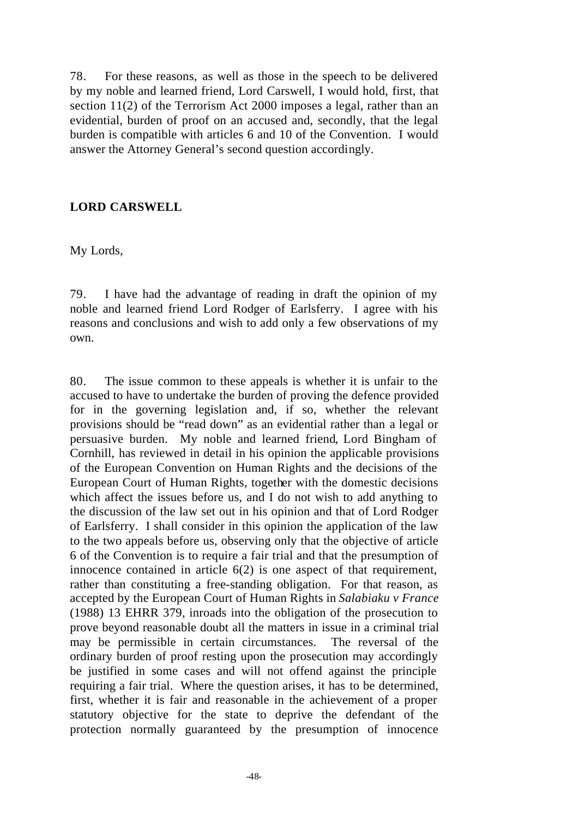78. For these reasons, as well as those in the speech to be delivered by my noble and learned friend, Lord Carswell, I would hold, first, that section 11(2) of the Terrorism Act 2000 imposes a legal, rather than an evidential, burden of proof on an accused and, secondly, that the legal burden is compatible with articles 6 and 10 of the Convention. I would answer the Attorney General's second question accordingly.

#### **LORD CARSWELL**

My Lords,

79. I have had the advantage of reading in draft the opinion of my noble and learned friend Lord Rodger of Earlsferry. I agree with his reasons and conclusions and wish to add only a few observations of my own.

80. The issue common to these appeals is whether it is unfair to the accused to have to undertake the burden of proving the defence provided for in the governing legislation and, if so, whether the relevant provisions should be "read down" as an evidential rather than a legal or persuasive burden. My noble and learned friend, Lord Bingham of Cornhill, has reviewed in detail in his opinion the applicable provisions of the European Convention on Human Rights and the decisions of the European Court of Human Rights, together with the domestic decisions which affect the issues before us, and I do not wish to add anything to the discussion of the law set out in his opinion and that of Lord Rodger of Earlsferry. I shall consider in this opinion the application of the law to the two appeals before us, observing only that the objective of article 6 of the Convention is to require a fair trial and that the presumption of innocence contained in article 6(2) is one aspect of that requirement, rather than constituting a free-standing obligation. For that reason, as accepted by the European Court of Human Rights in *Salabiaku v France*  (1988) 13 EHRR 379*,* inroads into the obligation of the prosecution to prove beyond reasonable doubt all the matters in issue in a criminal trial may be permissible in certain circumstances. The reversal of the ordinary burden of proof resting upon the prosecution may accordingly be justified in some cases and will not offend against the principle requiring a fair trial. Where the question arises, it has to be determined, first, whether it is fair and reasonable in the achievement of a proper statutory objective for the state to deprive the defendant of the protection normally guaranteed by the presumption of innocence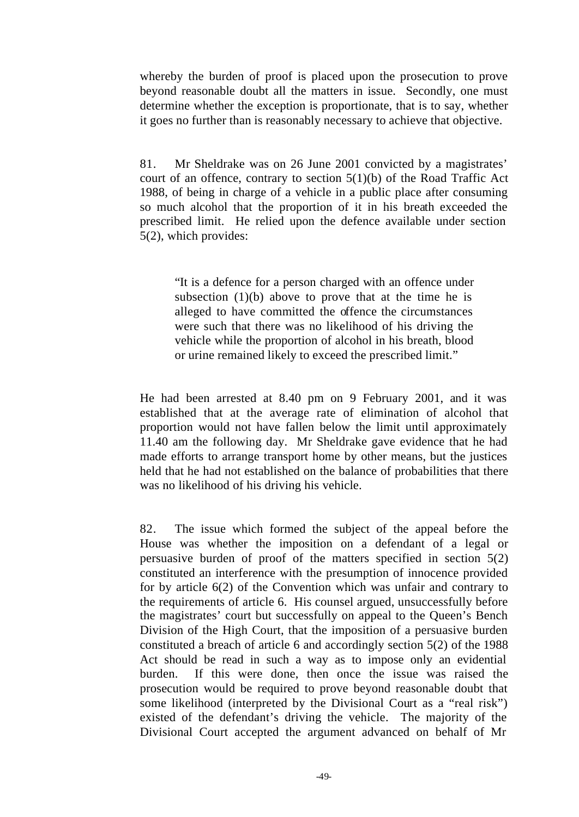whereby the burden of proof is placed upon the prosecution to prove beyond reasonable doubt all the matters in issue. Secondly, one must determine whether the exception is proportionate, that is to say, whether it goes no further than is reasonably necessary to achieve that objective.

81. Mr Sheldrake was on 26 June 2001 convicted by a magistrates' court of an offence, contrary to section 5(1)(b) of the Road Traffic Act 1988, of being in charge of a vehicle in a public place after consuming so much alcohol that the proportion of it in his breath exceeded the prescribed limit. He relied upon the defence available under section 5(2), which provides:

"It is a defence for a person charged with an offence under subsection  $(1)(b)$  above to prove that at the time he is alleged to have committed the offence the circumstances were such that there was no likelihood of his driving the vehicle while the proportion of alcohol in his breath, blood or urine remained likely to exceed the prescribed limit."

He had been arrested at 8.40 pm on 9 February 2001, and it was established that at the average rate of elimination of alcohol that proportion would not have fallen below the limit until approximately 11.40 am the following day. Mr Sheldrake gave evidence that he had made efforts to arrange transport home by other means, but the justices held that he had not established on the balance of probabilities that there was no likelihood of his driving his vehicle.

82. The issue which formed the subject of the appeal before the House was whether the imposition on a defendant of a legal or persuasive burden of proof of the matters specified in section 5(2) constituted an interference with the presumption of innocence provided for by article 6(2) of the Convention which was unfair and contrary to the requirements of article 6. His counsel argued, unsuccessfully before the magistrates' court but successfully on appeal to the Queen's Bench Division of the High Court, that the imposition of a persuasive burden constituted a breach of article 6 and accordingly section 5(2) of the 1988 Act should be read in such a way as to impose only an evidential burden. If this were done, then once the issue was raised the prosecution would be required to prove beyond reasonable doubt that some likelihood (interpreted by the Divisional Court as a "real risk") existed of the defendant's driving the vehicle. The majority of the Divisional Court accepted the argument advanced on behalf of Mr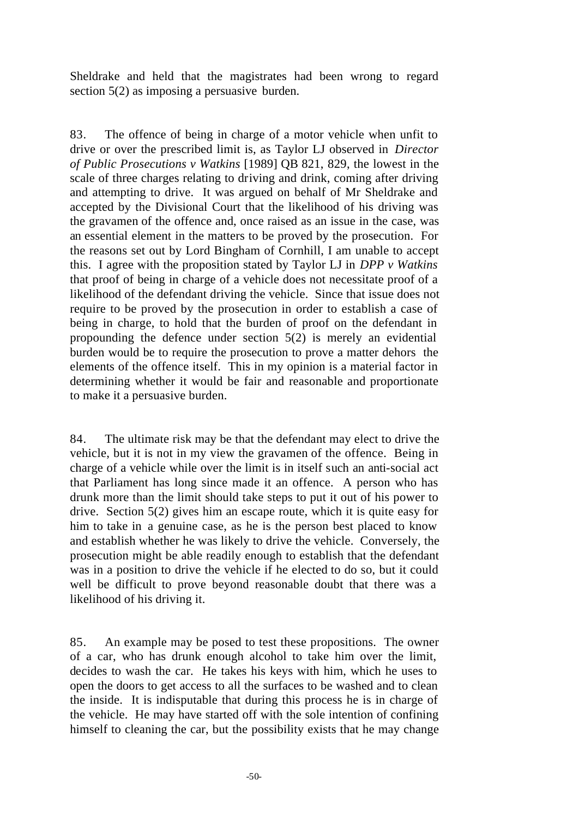Sheldrake and held that the magistrates had been wrong to regard section 5(2) as imposing a persuasive burden.

83. The offence of being in charge of a motor vehicle when unfit to drive or over the prescribed limit is, as Taylor LJ observed in *Director of Public Prosecutions v Watkins* [1989] QB 821, 829, the lowest in the scale of three charges relating to driving and drink, coming after driving and attempting to drive. It was argued on behalf of Mr Sheldrake and accepted by the Divisional Court that the likelihood of his driving was the gravamen of the offence and, once raised as an issue in the case, was an essential element in the matters to be proved by the prosecution. For the reasons set out by Lord Bingham of Cornhill, I am unable to accept this. I agree with the proposition stated by Taylor LJ in *DPP v Watkins*  that proof of being in charge of a vehicle does not necessitate proof of a likelihood of the defendant driving the vehicle. Since that issue does not require to be proved by the prosecution in order to establish a case of being in charge, to hold that the burden of proof on the defendant in propounding the defence under section 5(2) is merely an evidential burden would be to require the prosecution to prove a matter dehors the elements of the offence itself. This in my opinion is a material factor in determining whether it would be fair and reasonable and proportionate to make it a persuasive burden.

84. The ultimate risk may be that the defendant may elect to drive the vehicle, but it is not in my view the gravamen of the offence. Being in charge of a vehicle while over the limit is in itself such an anti-social act that Parliament has long since made it an offence. A person who has drunk more than the limit should take steps to put it out of his power to drive. Section 5(2) gives him an escape route, which it is quite easy for him to take in a genuine case, as he is the person best placed to know and establish whether he was likely to drive the vehicle. Conversely, the prosecution might be able readily enough to establish that the defendant was in a position to drive the vehicle if he elected to do so, but it could well be difficult to prove beyond reasonable doubt that there was a likelihood of his driving it.

85. An example may be posed to test these propositions. The owner of a car, who has drunk enough alcohol to take him over the limit, decides to wash the car. He takes his keys with him, which he uses to open the doors to get access to all the surfaces to be washed and to clean the inside. It is indisputable that during this process he is in charge of the vehicle. He may have started off with the sole intention of confining himself to cleaning the car, but the possibility exists that he may change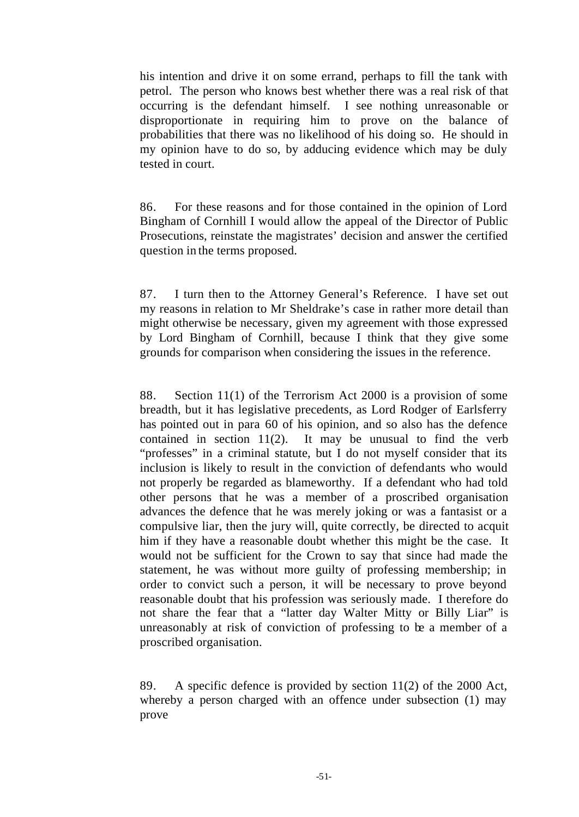his intention and drive it on some errand, perhaps to fill the tank with petrol. The person who knows best whether there was a real risk of that occurring is the defendant himself. I see nothing unreasonable or disproportionate in requiring him to prove on the balance of probabilities that there was no likelihood of his doing so. He should in my opinion have to do so, by adducing evidence which may be duly tested in court.

86. For these reasons and for those contained in the opinion of Lord Bingham of Cornhill I would allow the appeal of the Director of Public Prosecutions, reinstate the magistrates' decision and answer the certified question in the terms proposed.

87. I turn then to the Attorney General's Reference. I have set out my reasons in relation to Mr Sheldrake's case in rather more detail than might otherwise be necessary, given my agreement with those expressed by Lord Bingham of Cornhill, because I think that they give some grounds for comparison when considering the issues in the reference.

88. Section 11(1) of the Terrorism Act 2000 is a provision of some breadth, but it has legislative precedents, as Lord Rodger of Earlsferry has pointed out in para 60 of his opinion, and so also has the defence contained in section  $11(2)$ . It may be unusual to find the verb "professes" in a criminal statute, but I do not myself consider that its inclusion is likely to result in the conviction of defendants who would not properly be regarded as blameworthy. If a defendant who had told other persons that he was a member of a proscribed organisation advances the defence that he was merely joking or was a fantasist or a compulsive liar, then the jury will, quite correctly, be directed to acquit him if they have a reasonable doubt whether this might be the case. It would not be sufficient for the Crown to say that since had made the statement, he was without more guilty of professing membership; in order to convict such a person, it will be necessary to prove beyond reasonable doubt that his profession was seriously made. I therefore do not share the fear that a "latter day Walter Mitty or Billy Liar" is unreasonably at risk of conviction of professing to be a member of a proscribed organisation.

89. A specific defence is provided by section 11(2) of the 2000 Act, whereby a person charged with an offence under subsection (1) may prove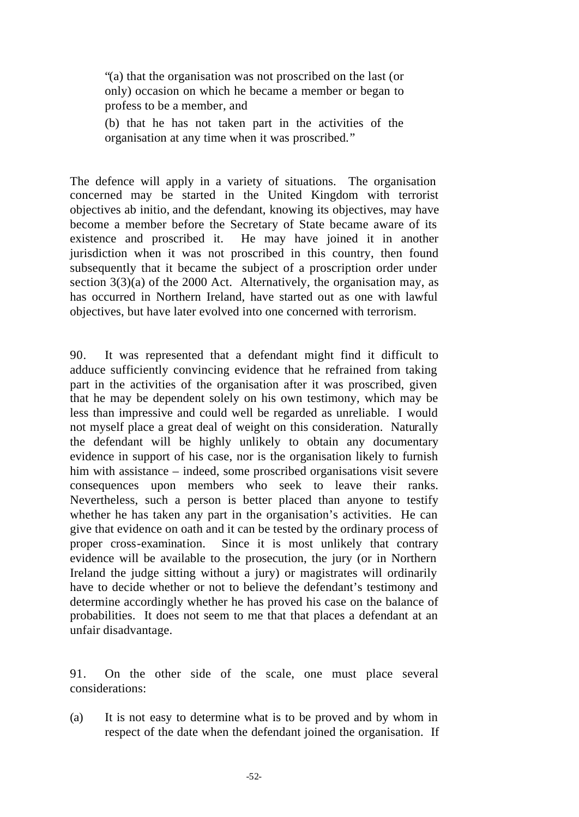"(a) that the organisation was not proscribed on the last (or only) occasion on which he became a member or began to profess to be a member, and

(b) that he has not taken part in the activities of the organisation at any time when it was proscribed."

The defence will apply in a variety of situations. The organisation concerned may be started in the United Kingdom with terrorist objectives ab initio, and the defendant, knowing its objectives, may have become a member before the Secretary of State became aware of its existence and proscribed it. He may have joined it in another jurisdiction when it was not proscribed in this country, then found subsequently that it became the subject of a proscription order under section  $3(3)(a)$  of the 2000 Act. Alternatively, the organisation may, as has occurred in Northern Ireland, have started out as one with lawful objectives, but have later evolved into one concerned with terrorism.

90. It was represented that a defendant might find it difficult to adduce sufficiently convincing evidence that he refrained from taking part in the activities of the organisation after it was proscribed, given that he may be dependent solely on his own testimony, which may be less than impressive and could well be regarded as unreliable. I would not myself place a great deal of weight on this consideration. Naturally the defendant will be highly unlikely to obtain any documentary evidence in support of his case, nor is the organisation likely to furnish him with assistance – indeed, some proscribed organisations visit severe consequences upon members who seek to leave their ranks. Nevertheless, such a person is better placed than anyone to testify whether he has taken any part in the organisation's activities. He can give that evidence on oath and it can be tested by the ordinary process of proper cross-examination. Since it is most unlikely that contrary evidence will be available to the prosecution, the jury (or in Northern Ireland the judge sitting without a jury) or magistrates will ordinarily have to decide whether or not to believe the defendant's testimony and determine accordingly whether he has proved his case on the balance of probabilities. It does not seem to me that that places a defendant at an unfair disadvantage.

91. On the other side of the scale, one must place several considerations:

(a) It is not easy to determine what is to be proved and by whom in respect of the date when the defendant joined the organisation. If